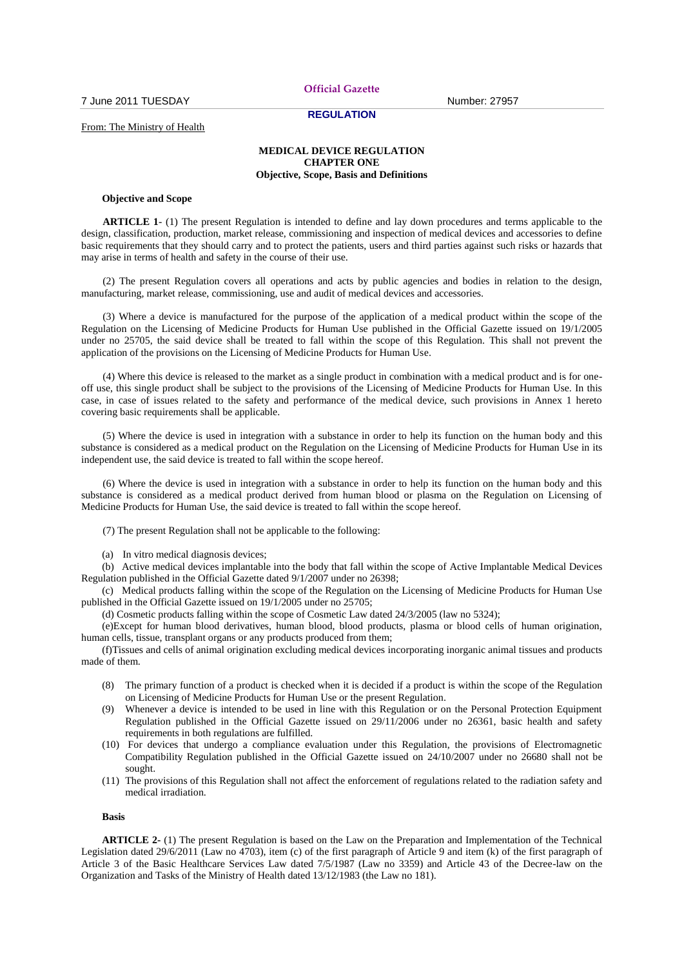**Official Gazette**

**REGULATION**

# From: The Ministry of Health

### **MEDICAL DEVICE REGULATION CHAPTER ONE Objective, Scope, Basis and Definitions**

#### **Objective and Scope**

**ARTICLE 1**- (1) The present Regulation is intended to define and lay down procedures and terms applicable to the design, classification, production, market release, commissioning and inspection of medical devices and accessories to define basic requirements that they should carry and to protect the patients, users and third parties against such risks or hazards that may arise in terms of health and safety in the course of their use.

(2) The present Regulation covers all operations and acts by public agencies and bodies in relation to the design, manufacturing, market release, commissioning, use and audit of medical devices and accessories.

(3) Where a device is manufactured for the purpose of the application of a medical product within the scope of the Regulation on the Licensing of Medicine Products for Human Use published in the Official Gazette issued on 19/1/2005 under no 25705, the said device shall be treated to fall within the scope of this Regulation. This shall not prevent the application of the provisions on the Licensing of Medicine Products for Human Use.

(4) Where this device is released to the market as a single product in combination with a medical product and is for oneoff use, this single product shall be subject to the provisions of the Licensing of Medicine Products for Human Use. In this case, in case of issues related to the safety and performance of the medical device, such provisions in Annex 1 hereto covering basic requirements shall be applicable.

(5) Where the device is used in integration with a substance in order to help its function on the human body and this substance is considered as a medical product on the Regulation on the Licensing of Medicine Products for Human Use in its independent use, the said device is treated to fall within the scope hereof.

(6) Where the device is used in integration with a substance in order to help its function on the human body and this substance is considered as a medical product derived from human blood or plasma on the Regulation on Licensing of Medicine Products for Human Use, the said device is treated to fall within the scope hereof.

(7) The present Regulation shall not be applicable to the following:

(a) In vitro medical diagnosis devices;

(b) Active medical devices implantable into the body that fall within the scope of Active Implantable Medical Devices Regulation published in the Official Gazette dated 9/1/2007 under no 26398;

(c) Medical products falling within the scope of the Regulation on the Licensing of Medicine Products for Human Use published in the Official Gazette issued on 19/1/2005 under no 25705;

(d) Cosmetic products falling within the scope of Cosmetic Law dated 24/3/2005 (law no 5324);

(e)Except for human blood derivatives, human blood, blood products, plasma or blood cells of human origination, human cells, tissue, transplant organs or any products produced from them;

(f)Tissues and cells of animal origination excluding medical devices incorporating inorganic animal tissues and products made of them.

- (8) The primary function of a product is checked when it is decided if a product is within the scope of the Regulation on Licensing of Medicine Products for Human Use or the present Regulation.
- (9) Whenever a device is intended to be used in line with this Regulation or on the Personal Protection Equipment Regulation published in the Official Gazette issued on 29/11/2006 under no 26361, basic health and safety requirements in both regulations are fulfilled.
- (10) For devices that undergo a compliance evaluation under this Regulation, the provisions of Electromagnetic Compatibility Regulation published in the Official Gazette issued on 24/10/2007 under no 26680 shall not be sought.
- (11) The provisions of this Regulation shall not affect the enforcement of regulations related to the radiation safety and medical irradiation.

#### **Basis**

**ARTICLE 2-** (1) The present Regulation is based on the Law on the Preparation and Implementation of the Technical Legislation dated 29/6/2011 (Law no 4703), item (c) of the first paragraph of Article 9 and item (k) of the first paragraph of Article 3 of the Basic Healthcare Services Law dated 7/5/1987 (Law no 3359) and Article 43 of the Decree-law on the Organization and Tasks of the Ministry of Health dated 13/12/1983 (the Law no 181).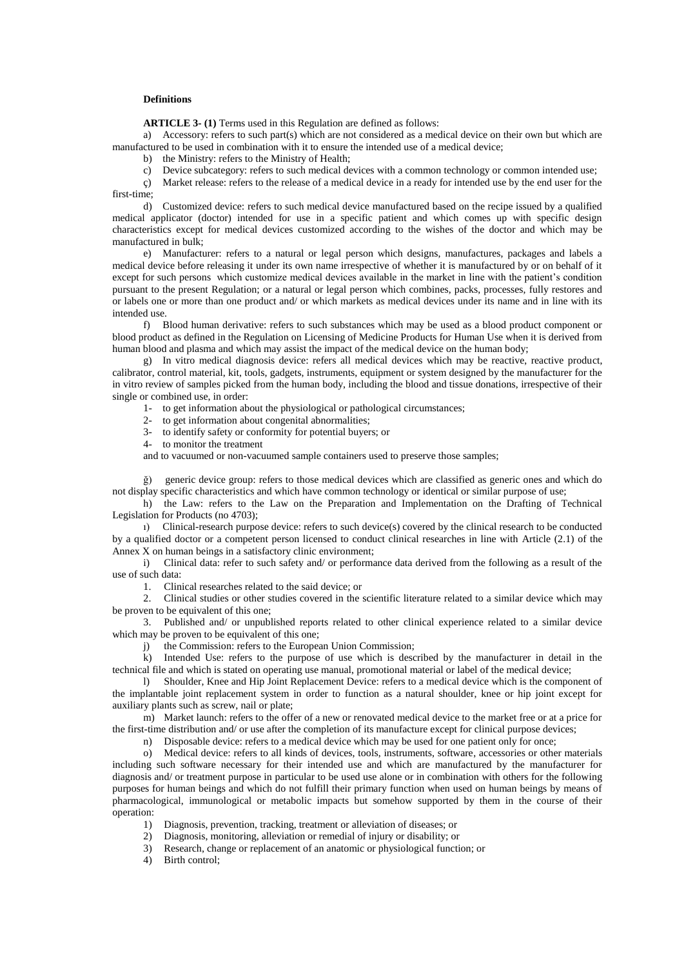## **Definitions**

**ARTICLE 3- (1)** Terms used in this Regulation are defined as follows:

a) Accessory: refers to such part(s) which are not considered as a medical device on their own but which are manufactured to be used in combination with it to ensure the intended use of a medical device;

b) the Ministry: refers to the Ministry of Health;

c) Device subcategory: refers to such medical devices with a common technology or common intended use;

ç) Market release: refers to the release of a medical device in a ready for intended use by the end user for the first-time;

d) Customized device: refers to such medical device manufactured based on the recipe issued by a qualified medical applicator (doctor) intended for use in a specific patient and which comes up with specific design characteristics except for medical devices customized according to the wishes of the doctor and which may be manufactured in bulk;

e) Manufacturer: refers to a natural or legal person which designs, manufactures, packages and labels a medical device before releasing it under its own name irrespective of whether it is manufactured by or on behalf of it except for such persons which customize medical devices available in the market in line with the patient's condition pursuant to the present Regulation; or a natural or legal person which combines, packs, processes, fully restores and or labels one or more than one product and/ or which markets as medical devices under its name and in line with its intended use.

f) Blood human derivative: refers to such substances which may be used as a blood product component or blood product as defined in the Regulation on Licensing of Medicine Products for Human Use when it is derived from human blood and plasma and which may assist the impact of the medical device on the human body;

g) In vitro medical diagnosis device: refers all medical devices which may be reactive, reactive product, calibrator, control material, kit, tools, gadgets, instruments, equipment or system designed by the manufacturer for the in vitro review of samples picked from the human body, including the blood and tissue donations, irrespective of their single or combined use, in order:

1- to get information about the physiological or pathological circumstances;

- 2- to get information about congenital abnormalities;
- 3- to identify safety or conformity for potential buyers; or
- 4- to monitor the treatment

and to vacuumed or non-vacuumed sample containers used to preserve those samples;

ğ) generic device group: refers to those medical devices which are classified as generic ones and which do not display specific characteristics and which have common technology or identical or similar purpose of use;

h) the Law: refers to the Law on the Preparation and Implementation on the Drafting of Technical Legislation for Products (no 4703);

ı) Clinical-research purpose device: refers to such device(s) covered by the clinical research to be conducted by a qualified doctor or a competent person licensed to conduct clinical researches in line with Article (2.1) of the Annex X on human beings in a satisfactory clinic environment;

i) Clinical data: refer to such safety and/ or performance data derived from the following as a result of the use of such data:

1. Clinical researches related to the said device; or

2. Clinical studies or other studies covered in the scientific literature related to a similar device which may be proven to be equivalent of this one;

3. Published and/ or unpublished reports related to other clinical experience related to a similar device which may be proven to be equivalent of this one;

j) the Commission: refers to the European Union Commission;

k) Intended Use: refers to the purpose of use which is described by the manufacturer in detail in the technical file and which is stated on operating use manual, promotional material or label of the medical device;

l) Shoulder, Knee and Hip Joint Replacement Device: refers to a medical device which is the component of the implantable joint replacement system in order to function as a natural shoulder, knee or hip joint except for auxiliary plants such as screw, nail or plate;

m) Market launch: refers to the offer of a new or renovated medical device to the market free or at a price for the first-time distribution and/ or use after the completion of its manufacture except for clinical purpose devices;

n) Disposable device: refers to a medical device which may be used for one patient only for once;

o) Medical device: refers to all kinds of devices, tools, instruments, software, accessories or other materials including such software necessary for their intended use and which are manufactured by the manufacturer for diagnosis and/ or treatment purpose in particular to be used use alone or in combination with others for the following purposes for human beings and which do not fulfill their primary function when used on human beings by means of pharmacological, immunological or metabolic impacts but somehow supported by them in the course of their operation:

1) Diagnosis, prevention, tracking, treatment or alleviation of diseases; or

2) Diagnosis, monitoring, alleviation or remedial of injury or disability; or

- 3) Research, change or replacement of an anatomic or physiological function; or
- 4) Birth control;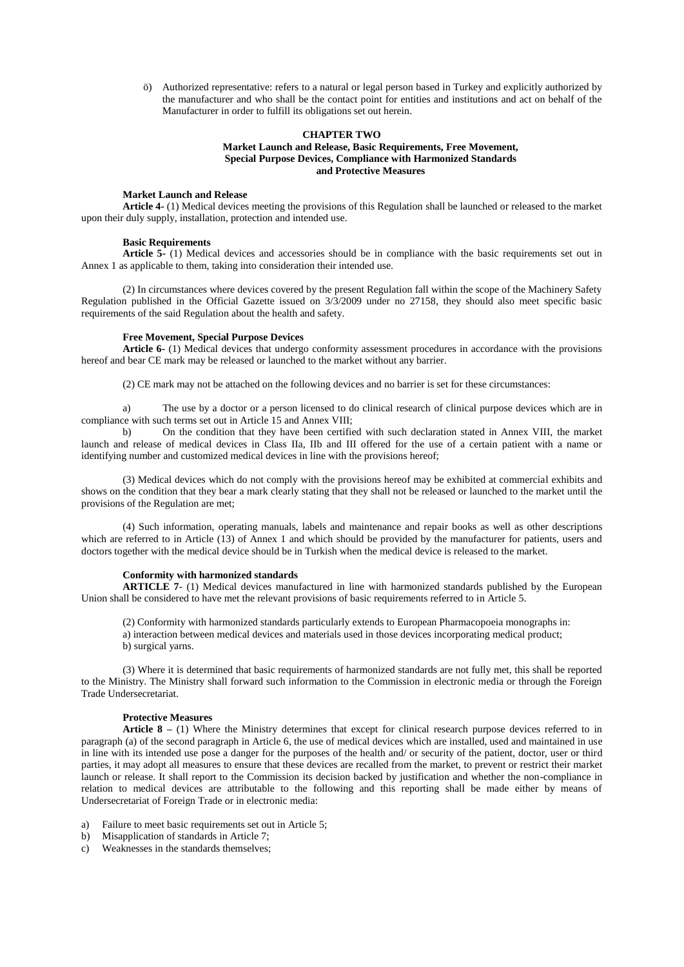ö) Authorized representative: refers to a natural or legal person based in Turkey and explicitly authorized by the manufacturer and who shall be the contact point for entities and institutions and act on behalf of the Manufacturer in order to fulfill its obligations set out herein.

# **CHAPTER TWO Market Launch and Release, Basic Requirements, Free Movement, Special Purpose Devices, Compliance with Harmonized Standards and Protective Measures**

# **Market Launch and Release**

**Article 4-** (1) Medical devices meeting the provisions of this Regulation shall be launched or released to the market upon their duly supply, installation, protection and intended use.

# **Basic Requirements**

**Article 5-** (1) Medical devices and accessories should be in compliance with the basic requirements set out in Annex 1 as applicable to them, taking into consideration their intended use.

(2) In circumstances where devices covered by the present Regulation fall within the scope of the Machinery Safety Regulation published in the Official Gazette issued on 3/3/2009 under no 27158, they should also meet specific basic requirements of the said Regulation about the health and safety.

## **Free Movement, Special Purpose Devices**

**Article 6-** (1) Medical devices that undergo conformity assessment procedures in accordance with the provisions hereof and bear CE mark may be released or launched to the market without any barrier.

(2) CE mark may not be attached on the following devices and no barrier is set for these circumstances:

a) The use by a doctor or a person licensed to do clinical research of clinical purpose devices which are in compliance with such terms set out in Article 15 and Annex VIII;

b) On the condition that they have been certified with such declaration stated in Annex VIII, the market launch and release of medical devices in Class IIa, IIb and III offered for the use of a certain patient with a name or identifying number and customized medical devices in line with the provisions hereof;

(3) Medical devices which do not comply with the provisions hereof may be exhibited at commercial exhibits and shows on the condition that they bear a mark clearly stating that they shall not be released or launched to the market until the provisions of the Regulation are met;

(4) Such information, operating manuals, labels and maintenance and repair books as well as other descriptions which are referred to in Article (13) of Annex 1 and which should be provided by the manufacturer for patients, users and doctors together with the medical device should be in Turkish when the medical device is released to the market.

#### **Conformity with harmonized standards**

**ARTICLE 7-** (1) Medical devices manufactured in line with harmonized standards published by the European Union shall be considered to have met the relevant provisions of basic requirements referred to in Article 5.

(2) Conformity with harmonized standards particularly extends to European Pharmacopoeia monographs in: a) interaction between medical devices and materials used in those devices incorporating medical product; b) surgical yarns.

(3) Where it is determined that basic requirements of harmonized standards are not fully met, this shall be reported to the Ministry. The Ministry shall forward such information to the Commission in electronic media or through the Foreign Trade Undersecretariat.

#### **Protective Measures**

**Article 8 –** (1) Where the Ministry determines that except for clinical research purpose devices referred to in paragraph (a) of the second paragraph in Article 6, the use of medical devices which are installed, used and maintained in use in line with its intended use pose a danger for the purposes of the health and/ or security of the patient, doctor, user or third parties, it may adopt all measures to ensure that these devices are recalled from the market, to prevent or restrict their market launch or release. It shall report to the Commission its decision backed by justification and whether the non-compliance in relation to medical devices are attributable to the following and this reporting shall be made either by means of Undersecretariat of Foreign Trade or in electronic media:

- a) Failure to meet basic requirements set out in Article 5;
- b) Misapplication of standards in Article 7;
- c) Weaknesses in the standards themselves;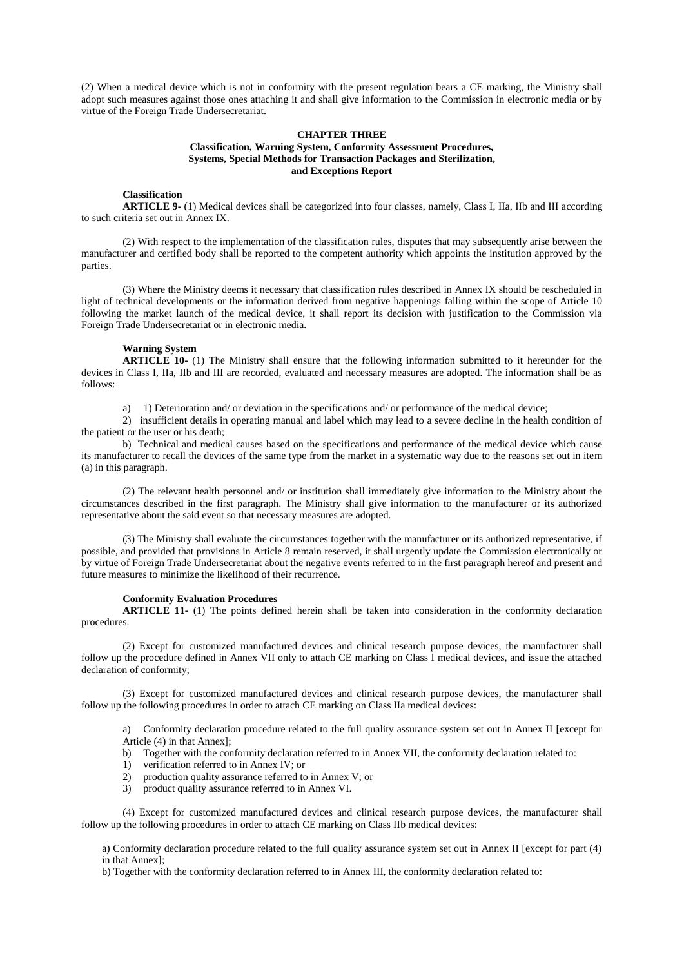(2) When a medical device which is not in conformity with the present regulation bears a CE marking, the Ministry shall adopt such measures against those ones attaching it and shall give information to the Commission in electronic media or by virtue of the Foreign Trade Undersecretariat.

# **CHAPTER THREE Classification, Warning System, Conformity Assessment Procedures, Systems, Special Methods for Transaction Packages and Sterilization, and Exceptions Report**

#### **Classification**

**ARTICLE 9-** (1) Medical devices shall be categorized into four classes, namely, Class I, IIa, IIb and III according to such criteria set out in Annex IX.

(2) With respect to the implementation of the classification rules, disputes that may subsequently arise between the manufacturer and certified body shall be reported to the competent authority which appoints the institution approved by the parties.

(3) Where the Ministry deems it necessary that classification rules described in Annex IX should be rescheduled in light of technical developments or the information derived from negative happenings falling within the scope of Article 10 following the market launch of the medical device, it shall report its decision with justification to the Commission via Foreign Trade Undersecretariat or in electronic media.

#### **Warning System**

**ARTICLE 10-** (1) The Ministry shall ensure that the following information submitted to it hereunder for the devices in Class I, IIa, IIb and III are recorded, evaluated and necessary measures are adopted. The information shall be as follows:

a) 1) Deterioration and/ or deviation in the specifications and/ or performance of the medical device;

2) insufficient details in operating manual and label which may lead to a severe decline in the health condition of the patient or the user or his death;

b) Technical and medical causes based on the specifications and performance of the medical device which cause its manufacturer to recall the devices of the same type from the market in a systematic way due to the reasons set out in item (a) in this paragraph.

(2) The relevant health personnel and/ or institution shall immediately give information to the Ministry about the circumstances described in the first paragraph. The Ministry shall give information to the manufacturer or its authorized representative about the said event so that necessary measures are adopted.

(3) The Ministry shall evaluate the circumstances together with the manufacturer or its authorized representative, if possible, and provided that provisions in Article 8 remain reserved, it shall urgently update the Commission electronically or by virtue of Foreign Trade Undersecretariat about the negative events referred to in the first paragraph hereof and present and future measures to minimize the likelihood of their recurrence.

#### **Conformity Evaluation Procedures**

**ARTICLE 11-** (1) The points defined herein shall be taken into consideration in the conformity declaration procedures.

(2) Except for customized manufactured devices and clinical research purpose devices, the manufacturer shall follow up the procedure defined in Annex VII only to attach CE marking on Class I medical devices, and issue the attached declaration of conformity;

(3) Except for customized manufactured devices and clinical research purpose devices, the manufacturer shall follow up the following procedures in order to attach CE marking on Class IIa medical devices:

a) Conformity declaration procedure related to the full quality assurance system set out in Annex II [except for Article (4) in that Annex];

- b) Together with the conformity declaration referred to in Annex VII, the conformity declaration related to:
- 1) verification referred to in Annex IV; or
- 2) production quality assurance referred to in Annex V; or
- 3) product quality assurance referred to in Annex VI.

(4) Except for customized manufactured devices and clinical research purpose devices, the manufacturer shall follow up the following procedures in order to attach CE marking on Class IIb medical devices:

a) Conformity declaration procedure related to the full quality assurance system set out in Annex II [except for part (4) in that Annex];

b) Together with the conformity declaration referred to in Annex III, the conformity declaration related to: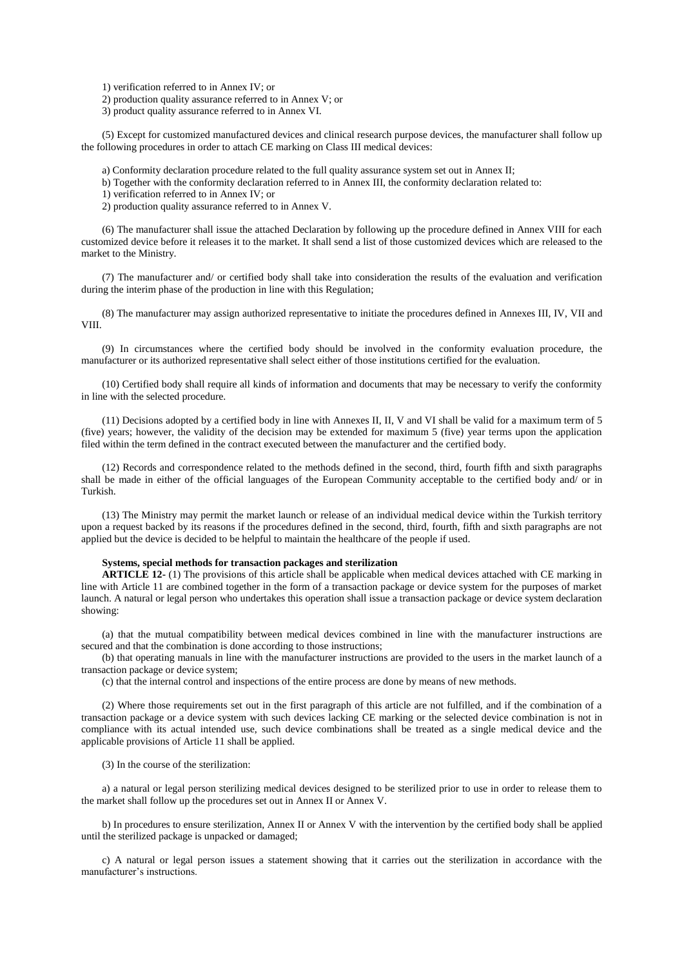1) verification referred to in Annex IV; or

2) production quality assurance referred to in Annex V; or

3) product quality assurance referred to in Annex VI.

(5) Except for customized manufactured devices and clinical research purpose devices, the manufacturer shall follow up the following procedures in order to attach CE marking on Class III medical devices:

a) Conformity declaration procedure related to the full quality assurance system set out in Annex II;

b) Together with the conformity declaration referred to in Annex III, the conformity declaration related to:

1) verification referred to in Annex IV; or

2) production quality assurance referred to in Annex V.

(6) The manufacturer shall issue the attached Declaration by following up the procedure defined in Annex VIII for each customized device before it releases it to the market. It shall send a list of those customized devices which are released to the market to the Ministry.

(7) The manufacturer and/ or certified body shall take into consideration the results of the evaluation and verification during the interim phase of the production in line with this Regulation;

(8) The manufacturer may assign authorized representative to initiate the procedures defined in Annexes III, IV, VII and VIII.

(9) In circumstances where the certified body should be involved in the conformity evaluation procedure, the manufacturer or its authorized representative shall select either of those institutions certified for the evaluation.

(10) Certified body shall require all kinds of information and documents that may be necessary to verify the conformity in line with the selected procedure.

(11) Decisions adopted by a certified body in line with Annexes II, II, V and VI shall be valid for a maximum term of 5 (five) years; however, the validity of the decision may be extended for maximum 5 (five) year terms upon the application filed within the term defined in the contract executed between the manufacturer and the certified body.

(12) Records and correspondence related to the methods defined in the second, third, fourth fifth and sixth paragraphs shall be made in either of the official languages of the European Community acceptable to the certified body and/ or in Turkish.

(13) The Ministry may permit the market launch or release of an individual medical device within the Turkish territory upon a request backed by its reasons if the procedures defined in the second, third, fourth, fifth and sixth paragraphs are not applied but the device is decided to be helpful to maintain the healthcare of the people if used.

#### **Systems, special methods for transaction packages and sterilization**

**ARTICLE 12-** (1) The provisions of this article shall be applicable when medical devices attached with CE marking in line with Article 11 are combined together in the form of a transaction package or device system for the purposes of market launch. A natural or legal person who undertakes this operation shall issue a transaction package or device system declaration showing:

(a) that the mutual compatibility between medical devices combined in line with the manufacturer instructions are secured and that the combination is done according to those instructions;

(b) that operating manuals in line with the manufacturer instructions are provided to the users in the market launch of a transaction package or device system;

(c) that the internal control and inspections of the entire process are done by means of new methods.

(2) Where those requirements set out in the first paragraph of this article are not fulfilled, and if the combination of a transaction package or a device system with such devices lacking CE marking or the selected device combination is not in compliance with its actual intended use, such device combinations shall be treated as a single medical device and the applicable provisions of Article 11 shall be applied.

(3) In the course of the sterilization:

a) a natural or legal person sterilizing medical devices designed to be sterilized prior to use in order to release them to the market shall follow up the procedures set out in Annex II or Annex V.

b) In procedures to ensure sterilization, Annex II or Annex V with the intervention by the certified body shall be applied until the sterilized package is unpacked or damaged;

c) A natural or legal person issues a statement showing that it carries out the sterilization in accordance with the manufacturer's instructions.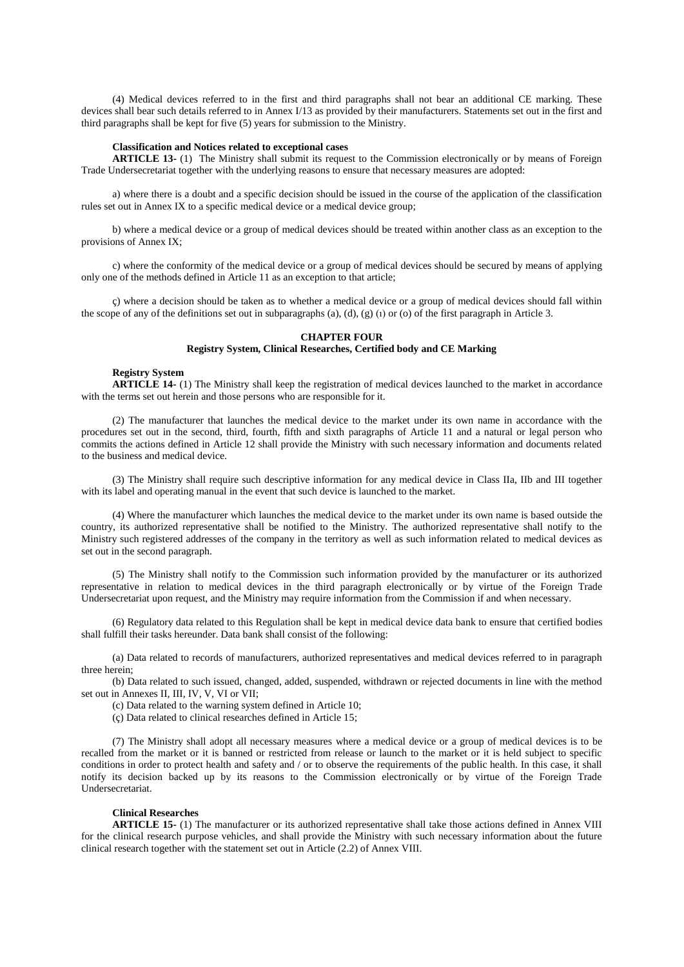(4) Medical devices referred to in the first and third paragraphs shall not bear an additional CE marking. These devices shall bear such details referred to in Annex I/13 as provided by their manufacturers. Statements set out in the first and third paragraphs shall be kept for five (5) years for submission to the Ministry.

#### **Classification and Notices related to exceptional cases**

**ARTICLE 13-** (1) The Ministry shall submit its request to the Commission electronically or by means of Foreign Trade Undersecretariat together with the underlying reasons to ensure that necessary measures are adopted:

a) where there is a doubt and a specific decision should be issued in the course of the application of the classification rules set out in Annex IX to a specific medical device or a medical device group;

b) where a medical device or a group of medical devices should be treated within another class as an exception to the provisions of Annex IX;

c) where the conformity of the medical device or a group of medical devices should be secured by means of applying only one of the methods defined in Article 11 as an exception to that article;

ç) where a decision should be taken as to whether a medical device or a group of medical devices should fall within the scope of any of the definitions set out in subparagraphs (a), (d), (g) (1) or (o) of the first paragraph in Article 3.

# **CHAPTER FOUR**

# **Registry System, Clinical Researches, Certified body and CE Marking**

#### **Registry System**

**ARTICLE 14-** (1) The Ministry shall keep the registration of medical devices launched to the market in accordance with the terms set out herein and those persons who are responsible for it.

(2) The manufacturer that launches the medical device to the market under its own name in accordance with the procedures set out in the second, third, fourth, fifth and sixth paragraphs of Article 11 and a natural or legal person who commits the actions defined in Article 12 shall provide the Ministry with such necessary information and documents related to the business and medical device.

(3) The Ministry shall require such descriptive information for any medical device in Class IIa, IIb and III together with its label and operating manual in the event that such device is launched to the market.

(4) Where the manufacturer which launches the medical device to the market under its own name is based outside the country, its authorized representative shall be notified to the Ministry. The authorized representative shall notify to the Ministry such registered addresses of the company in the territory as well as such information related to medical devices as set out in the second paragraph.

(5) The Ministry shall notify to the Commission such information provided by the manufacturer or its authorized representative in relation to medical devices in the third paragraph electronically or by virtue of the Foreign Trade Undersecretariat upon request, and the Ministry may require information from the Commission if and when necessary.

(6) Regulatory data related to this Regulation shall be kept in medical device data bank to ensure that certified bodies shall fulfill their tasks hereunder. Data bank shall consist of the following:

(a) Data related to records of manufacturers, authorized representatives and medical devices referred to in paragraph three herein;

(b) Data related to such issued, changed, added, suspended, withdrawn or rejected documents in line with the method set out in Annexes II, III, IV, V, VI or VII;

(c) Data related to the warning system defined in Article 10;

(ç) Data related to clinical researches defined in Article 15;

(7) The Ministry shall adopt all necessary measures where a medical device or a group of medical devices is to be recalled from the market or it is banned or restricted from release or launch to the market or it is held subject to specific conditions in order to protect health and safety and / or to observe the requirements of the public health. In this case, it shall notify its decision backed up by its reasons to the Commission electronically or by virtue of the Foreign Trade Undersecretariat.

#### **Clinical Researches**

**ARTICLE 15-** (1) The manufacturer or its authorized representative shall take those actions defined in Annex VIII for the clinical research purpose vehicles, and shall provide the Ministry with such necessary information about the future clinical research together with the statement set out in Article (2.2) of Annex VIII.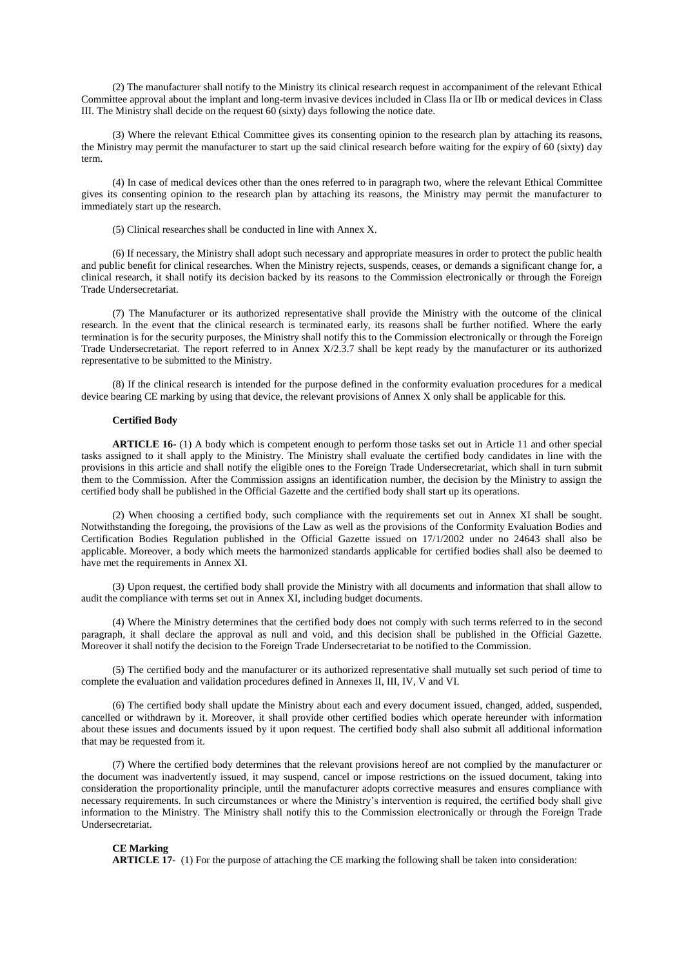(2) The manufacturer shall notify to the Ministry its clinical research request in accompaniment of the relevant Ethical Committee approval about the implant and long-term invasive devices included in Class IIa or IIb or medical devices in Class III. The Ministry shall decide on the request 60 (sixty) days following the notice date.

(3) Where the relevant Ethical Committee gives its consenting opinion to the research plan by attaching its reasons, the Ministry may permit the manufacturer to start up the said clinical research before waiting for the expiry of 60 (sixty) day term.

(4) In case of medical devices other than the ones referred to in paragraph two, where the relevant Ethical Committee gives its consenting opinion to the research plan by attaching its reasons, the Ministry may permit the manufacturer to immediately start up the research.

(5) Clinical researches shall be conducted in line with Annex X.

(6) If necessary, the Ministry shall adopt such necessary and appropriate measures in order to protect the public health and public benefit for clinical researches. When the Ministry rejects, suspends, ceases, or demands a significant change for, a clinical research, it shall notify its decision backed by its reasons to the Commission electronically or through the Foreign Trade Undersecretariat.

(7) The Manufacturer or its authorized representative shall provide the Ministry with the outcome of the clinical research. In the event that the clinical research is terminated early, its reasons shall be further notified. Where the early termination is for the security purposes, the Ministry shall notify this to the Commission electronically or through the Foreign Trade Undersecretariat. The report referred to in Annex X/2.3.7 shall be kept ready by the manufacturer or its authorized representative to be submitted to the Ministry.

(8) If the clinical research is intended for the purpose defined in the conformity evaluation procedures for a medical device bearing CE marking by using that device, the relevant provisions of Annex X only shall be applicable for this.

# **Certified Body**

**ARTICLE 16-** (1) A body which is competent enough to perform those tasks set out in Article 11 and other special tasks assigned to it shall apply to the Ministry. The Ministry shall evaluate the certified body candidates in line with the provisions in this article and shall notify the eligible ones to the Foreign Trade Undersecretariat, which shall in turn submit them to the Commission. After the Commission assigns an identification number, the decision by the Ministry to assign the certified body shall be published in the Official Gazette and the certified body shall start up its operations.

(2) When choosing a certified body, such compliance with the requirements set out in Annex XI shall be sought. Notwithstanding the foregoing, the provisions of the Law as well as the provisions of the Conformity Evaluation Bodies and Certification Bodies Regulation published in the Official Gazette issued on 17/1/2002 under no 24643 shall also be applicable. Moreover, a body which meets the harmonized standards applicable for certified bodies shall also be deemed to have met the requirements in Annex XI.

(3) Upon request, the certified body shall provide the Ministry with all documents and information that shall allow to audit the compliance with terms set out in Annex XI, including budget documents.

(4) Where the Ministry determines that the certified body does not comply with such terms referred to in the second paragraph, it shall declare the approval as null and void, and this decision shall be published in the Official Gazette. Moreover it shall notify the decision to the Foreign Trade Undersecretariat to be notified to the Commission.

(5) The certified body and the manufacturer or its authorized representative shall mutually set such period of time to complete the evaluation and validation procedures defined in Annexes II, III, IV, V and VI.

(6) The certified body shall update the Ministry about each and every document issued, changed, added, suspended, cancelled or withdrawn by it. Moreover, it shall provide other certified bodies which operate hereunder with information about these issues and documents issued by it upon request. The certified body shall also submit all additional information that may be requested from it.

(7) Where the certified body determines that the relevant provisions hereof are not complied by the manufacturer or the document was inadvertently issued, it may suspend, cancel or impose restrictions on the issued document, taking into consideration the proportionality principle, until the manufacturer adopts corrective measures and ensures compliance with necessary requirements. In such circumstances or where the Ministry's intervention is required, the certified body shall give information to the Ministry. The Ministry shall notify this to the Commission electronically or through the Foreign Trade Undersecretariat.

# **CE Marking**

**ARTICLE 17-** (1) For the purpose of attaching the CE marking the following shall be taken into consideration: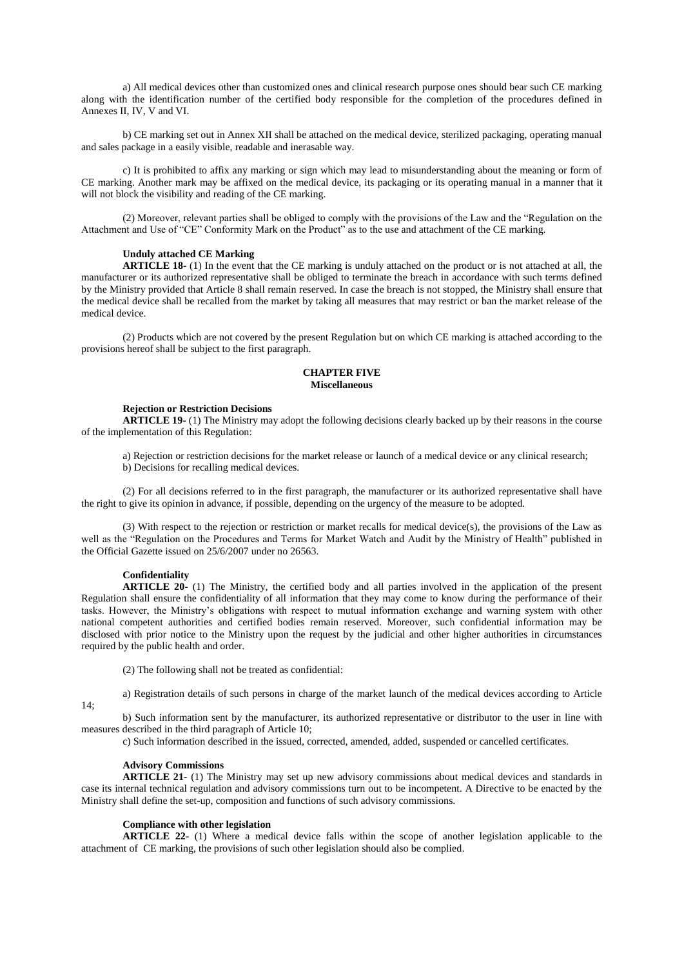a) All medical devices other than customized ones and clinical research purpose ones should bear such CE marking along with the identification number of the certified body responsible for the completion of the procedures defined in Annexes II, IV, V and VI.

b) CE marking set out in Annex XII shall be attached on the medical device, sterilized packaging, operating manual and sales package in a easily visible, readable and inerasable way.

c) It is prohibited to affix any marking or sign which may lead to misunderstanding about the meaning or form of CE marking. Another mark may be affixed on the medical device, its packaging or its operating manual in a manner that it will not block the visibility and reading of the CE marking.

(2) Moreover, relevant parties shall be obliged to comply with the provisions of the Law and the "Regulation on the Attachment and Use of "CE" Conformity Mark on the Product" as to the use and attachment of the CE marking.

#### **Unduly attached CE Marking**

**ARTICLE 18-** (1) In the event that the CE marking is unduly attached on the product or is not attached at all, the manufacturer or its authorized representative shall be obliged to terminate the breach in accordance with such terms defined by the Ministry provided that Article 8 shall remain reserved. In case the breach is not stopped, the Ministry shall ensure that the medical device shall be recalled from the market by taking all measures that may restrict or ban the market release of the medical device.

(2) Products which are not covered by the present Regulation but on which CE marking is attached according to the provisions hereof shall be subject to the first paragraph.

# **CHAPTER FIVE Miscellaneous**

#### **Rejection or Restriction Decisions**

**ARTICLE 19-** (1) The Ministry may adopt the following decisions clearly backed up by their reasons in the course of the implementation of this Regulation:

a) Rejection or restriction decisions for the market release or launch of a medical device or any clinical research; b) Decisions for recalling medical devices.

(2) For all decisions referred to in the first paragraph, the manufacturer or its authorized representative shall have the right to give its opinion in advance, if possible, depending on the urgency of the measure to be adopted.

(3) With respect to the rejection or restriction or market recalls for medical device(s), the provisions of the Law as well as the "Regulation on the Procedures and Terms for Market Watch and Audit by the Ministry of Health" published in the Official Gazette issued on 25/6/2007 under no 26563.

# **Confidentiality**

**ARTICLE 20-** (1) The Ministry, the certified body and all parties involved in the application of the present Regulation shall ensure the confidentiality of all information that they may come to know during the performance of their tasks. However, the Ministry's obligations with respect to mutual information exchange and warning system with other national competent authorities and certified bodies remain reserved. Moreover, such confidential information may be disclosed with prior notice to the Ministry upon the request by the judicial and other higher authorities in circumstances required by the public health and order.

(2) The following shall not be treated as confidential:

a) Registration details of such persons in charge of the market launch of the medical devices according to Article

 $14$ 

b) Such information sent by the manufacturer, its authorized representative or distributor to the user in line with measures described in the third paragraph of Article 10;

c) Such information described in the issued, corrected, amended, added, suspended or cancelled certificates.

# **Advisory Commissions**

**ARTICLE 21-** (1) The Ministry may set up new advisory commissions about medical devices and standards in case its internal technical regulation and advisory commissions turn out to be incompetent. A Directive to be enacted by the Ministry shall define the set-up, composition and functions of such advisory commissions.

# **Compliance with other legislation**

**ARTICLE 22-** (1) Where a medical device falls within the scope of another legislation applicable to the attachment of CE marking, the provisions of such other legislation should also be complied.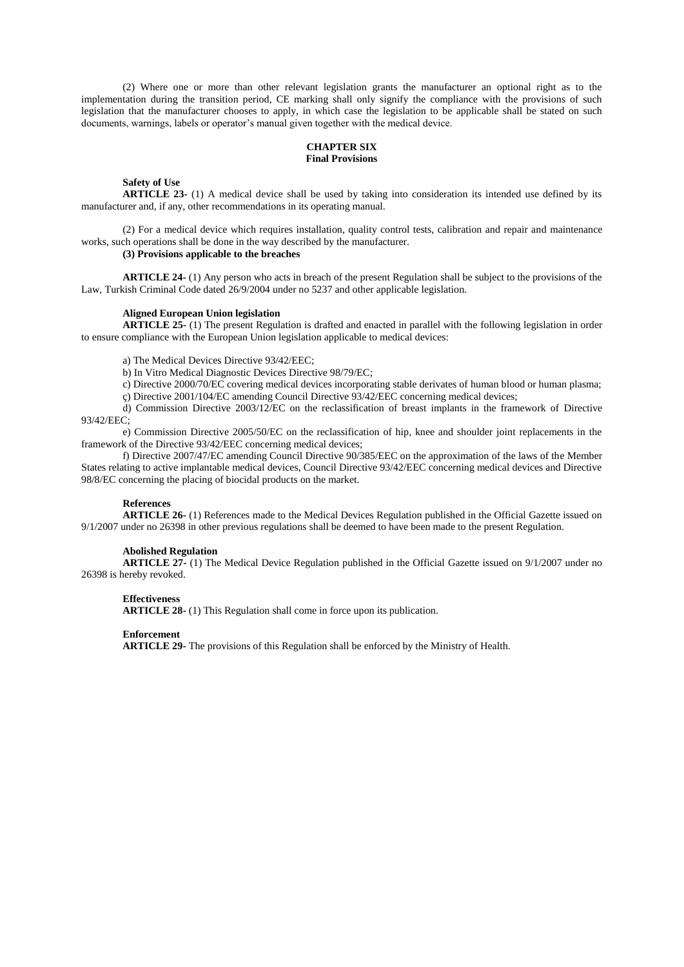(2) Where one or more than other relevant legislation grants the manufacturer an optional right as to the implementation during the transition period, CE marking shall only signify the compliance with the provisions of such legislation that the manufacturer chooses to apply, in which case the legislation to be applicable shall be stated on such documents, warnings, labels or operator's manual given together with the medical device.

## **CHAPTER SIX Final Provisions**

# **Safety of Use**

**ARTICLE 23-** (1) A medical device shall be used by taking into consideration its intended use defined by its manufacturer and, if any, other recommendations in its operating manual.

(2) For a medical device which requires installation, quality control tests, calibration and repair and maintenance works, such operations shall be done in the way described by the manufacturer.

# **(3) Provisions applicable to the breaches**

**ARTICLE 24-** (1) Any person who acts in breach of the present Regulation shall be subject to the provisions of the Law, Turkish Criminal Code dated 26/9/2004 under no 5237 and other applicable legislation.

## **Aligned European Union legislation**

**ARTICLE 25-** (1) The present Regulation is drafted and enacted in parallel with the following legislation in order to ensure compliance with the European Union legislation applicable to medical devices:

a) The Medical Devices Directive 93/42/EEC;

b) In Vitro Medical Diagnostic Devices Directive 98/79/EC;

c) Directive 2000/70/EC covering medical devices incorporating stable derivates of human blood or human plasma;

ç) Directive 2001/104/EC amending Council Directive 93/42/EEC concerning medical devices;

d) Commission Directive 2003/12/EC on the reclassification of breast implants in the framework of Directive 93/42/EEC;

e) Commission Directive 2005/50/EC on the reclassification of hip, knee and shoulder joint replacements in the framework of the Directive 93/42/EEC concerning medical devices;

f) Directive 2007/47/EC amending Council Directive 90/385/EEC on the approximation of the laws of the Member States relating to active implantable medical devices, Council Directive 93/42/EEC concerning medical devices and Directive 98/8/EC concerning the placing of biocidal products on the market.

#### **References**

**ARTICLE 26-** (1) References made to the Medical Devices Regulation published in the Official Gazette issued on 9/1/2007 under no 26398 in other previous regulations shall be deemed to have been made to the present Regulation.

# **Abolished Regulation**

**ARTICLE 27-** (1) The Medical Device Regulation published in the Official Gazette issued on 9/1/2007 under no 26398 is hereby revoked.

#### **Effectiveness**

**ARTICLE 28-** (1) This Regulation shall come in force upon its publication.

# **Enforcement**

**ARTICLE 29-** The provisions of this Regulation shall be enforced by the Ministry of Health.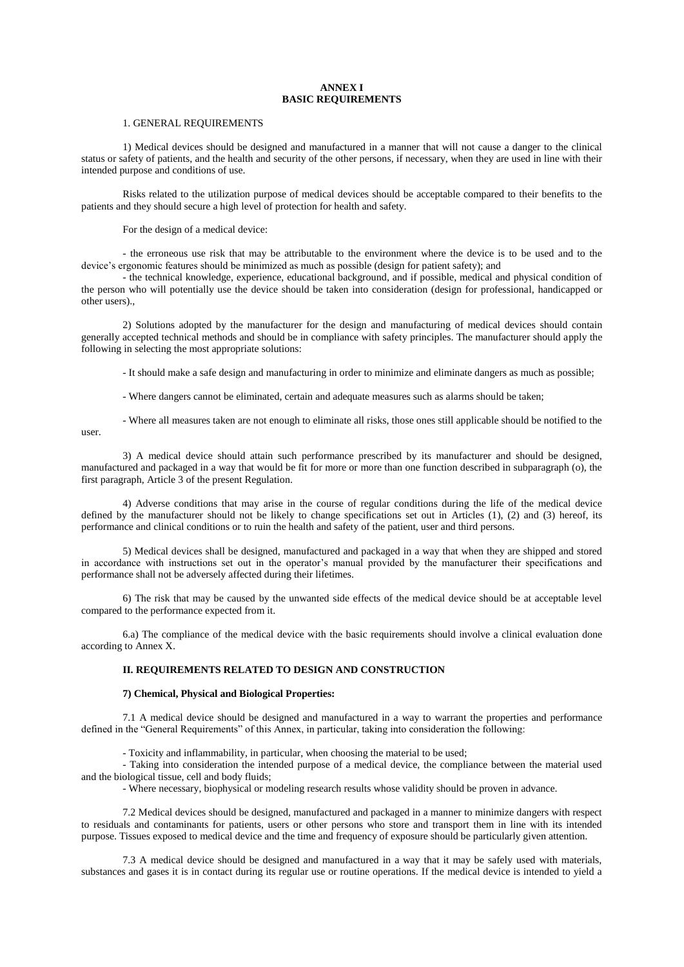# **ANNEX I BASIC REQUIREMENTS**

# 1. GENERAL REQUIREMENTS

1) Medical devices should be designed and manufactured in a manner that will not cause a danger to the clinical status or safety of patients, and the health and security of the other persons, if necessary, when they are used in line with their intended purpose and conditions of use.

Risks related to the utilization purpose of medical devices should be acceptable compared to their benefits to the patients and they should secure a high level of protection for health and safety.

For the design of a medical device:

- the erroneous use risk that may be attributable to the environment where the device is to be used and to the device's ergonomic features should be minimized as much as possible (design for patient safety); and

- the technical knowledge, experience, educational background, and if possible, medical and physical condition of the person who will potentially use the device should be taken into consideration (design for professional, handicapped or other users).,

2) Solutions adopted by the manufacturer for the design and manufacturing of medical devices should contain generally accepted technical methods and should be in compliance with safety principles. The manufacturer should apply the following in selecting the most appropriate solutions:

- It should make a safe design and manufacturing in order to minimize and eliminate dangers as much as possible;

- Where dangers cannot be eliminated, certain and adequate measures such as alarms should be taken;

- Where all measures taken are not enough to eliminate all risks, those ones still applicable should be notified to the user.

3) A medical device should attain such performance prescribed by its manufacturer and should be designed, manufactured and packaged in a way that would be fit for more or more than one function described in subparagraph (o), the first paragraph, Article 3 of the present Regulation.

4) Adverse conditions that may arise in the course of regular conditions during the life of the medical device defined by the manufacturer should not be likely to change specifications set out in Articles (1), (2) and (3) hereof, its performance and clinical conditions or to ruin the health and safety of the patient, user and third persons.

5) Medical devices shall be designed, manufactured and packaged in a way that when they are shipped and stored in accordance with instructions set out in the operator's manual provided by the manufacturer their specifications and performance shall not be adversely affected during their lifetimes.

6) The risk that may be caused by the unwanted side effects of the medical device should be at acceptable level compared to the performance expected from it.

6.a) The compliance of the medical device with the basic requirements should involve a clinical evaluation done according to Annex X.

## **II. REQUIREMENTS RELATED TO DESIGN AND CONSTRUCTION**

#### **7) Chemical, Physical and Biological Properties:**

7.1 A medical device should be designed and manufactured in a way to warrant the properties and performance defined in the "General Requirements" of this Annex, in particular, taking into consideration the following:

- Toxicity and inflammability, in particular, when choosing the material to be used;

- Taking into consideration the intended purpose of a medical device, the compliance between the material used and the biological tissue, cell and body fluids;

- Where necessary, biophysical or modeling research results whose validity should be proven in advance.

7.2 Medical devices should be designed, manufactured and packaged in a manner to minimize dangers with respect to residuals and contaminants for patients, users or other persons who store and transport them in line with its intended purpose. Tissues exposed to medical device and the time and frequency of exposure should be particularly given attention.

7.3 A medical device should be designed and manufactured in a way that it may be safely used with materials, substances and gases it is in contact during its regular use or routine operations. If the medical device is intended to yield a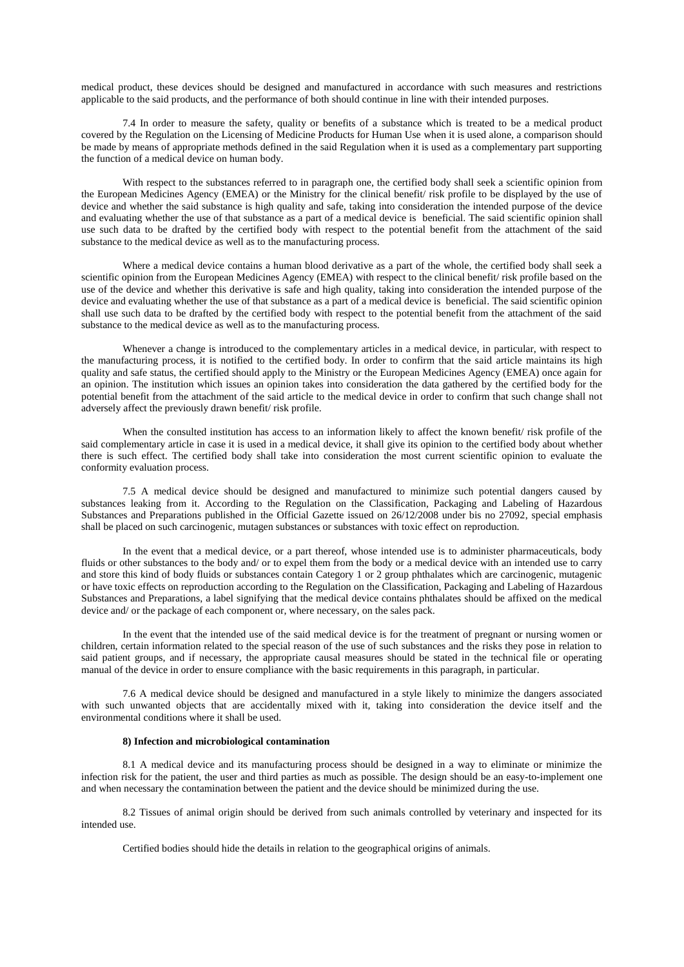medical product, these devices should be designed and manufactured in accordance with such measures and restrictions applicable to the said products, and the performance of both should continue in line with their intended purposes.

7.4 In order to measure the safety, quality or benefits of a substance which is treated to be a medical product covered by the Regulation on the Licensing of Medicine Products for Human Use when it is used alone, a comparison should be made by means of appropriate methods defined in the said Regulation when it is used as a complementary part supporting the function of a medical device on human body.

With respect to the substances referred to in paragraph one, the certified body shall seek a scientific opinion from the European Medicines Agency (EMEA) or the Ministry for the clinical benefit/ risk profile to be displayed by the use of device and whether the said substance is high quality and safe, taking into consideration the intended purpose of the device and evaluating whether the use of that substance as a part of a medical device is beneficial. The said scientific opinion shall use such data to be drafted by the certified body with respect to the potential benefit from the attachment of the said substance to the medical device as well as to the manufacturing process.

Where a medical device contains a human blood derivative as a part of the whole, the certified body shall seek a scientific opinion from the European Medicines Agency (EMEA) with respect to the clinical benefit/ risk profile based on the use of the device and whether this derivative is safe and high quality, taking into consideration the intended purpose of the device and evaluating whether the use of that substance as a part of a medical device is beneficial. The said scientific opinion shall use such data to be drafted by the certified body with respect to the potential benefit from the attachment of the said substance to the medical device as well as to the manufacturing process.

Whenever a change is introduced to the complementary articles in a medical device, in particular, with respect to the manufacturing process, it is notified to the certified body. In order to confirm that the said article maintains its high quality and safe status, the certified should apply to the Ministry or the European Medicines Agency (EMEA) once again for an opinion. The institution which issues an opinion takes into consideration the data gathered by the certified body for the potential benefit from the attachment of the said article to the medical device in order to confirm that such change shall not adversely affect the previously drawn benefit/ risk profile.

When the consulted institution has access to an information likely to affect the known benefit/ risk profile of the said complementary article in case it is used in a medical device, it shall give its opinion to the certified body about whether there is such effect. The certified body shall take into consideration the most current scientific opinion to evaluate the conformity evaluation process.

7.5 A medical device should be designed and manufactured to minimize such potential dangers caused by substances leaking from it. According to the Regulation on the Classification, Packaging and Labeling of Hazardous Substances and Preparations published in the Official Gazette issued on 26/12/2008 under bis no 27092, special emphasis shall be placed on such carcinogenic, mutagen substances or substances with toxic effect on reproduction.

In the event that a medical device, or a part thereof, whose intended use is to administer pharmaceuticals, body fluids or other substances to the body and/ or to expel them from the body or a medical device with an intended use to carry and store this kind of body fluids or substances contain Category 1 or 2 group phthalates which are carcinogenic, mutagenic or have toxic effects on reproduction according to the Regulation on the Classification, Packaging and Labeling of Hazardous Substances and Preparations, a label signifying that the medical device contains phthalates should be affixed on the medical device and/ or the package of each component or, where necessary, on the sales pack.

In the event that the intended use of the said medical device is for the treatment of pregnant or nursing women or children, certain information related to the special reason of the use of such substances and the risks they pose in relation to said patient groups, and if necessary, the appropriate causal measures should be stated in the technical file or operating manual of the device in order to ensure compliance with the basic requirements in this paragraph, in particular.

7.6 A medical device should be designed and manufactured in a style likely to minimize the dangers associated with such unwanted objects that are accidentally mixed with it, taking into consideration the device itself and the environmental conditions where it shall be used.

### **8) Infection and microbiological contamination**

8.1 A medical device and its manufacturing process should be designed in a way to eliminate or minimize the infection risk for the patient, the user and third parties as much as possible. The design should be an easy-to-implement one and when necessary the contamination between the patient and the device should be minimized during the use.

8.2 Tissues of animal origin should be derived from such animals controlled by veterinary and inspected for its intended use.

Certified bodies should hide the details in relation to the geographical origins of animals.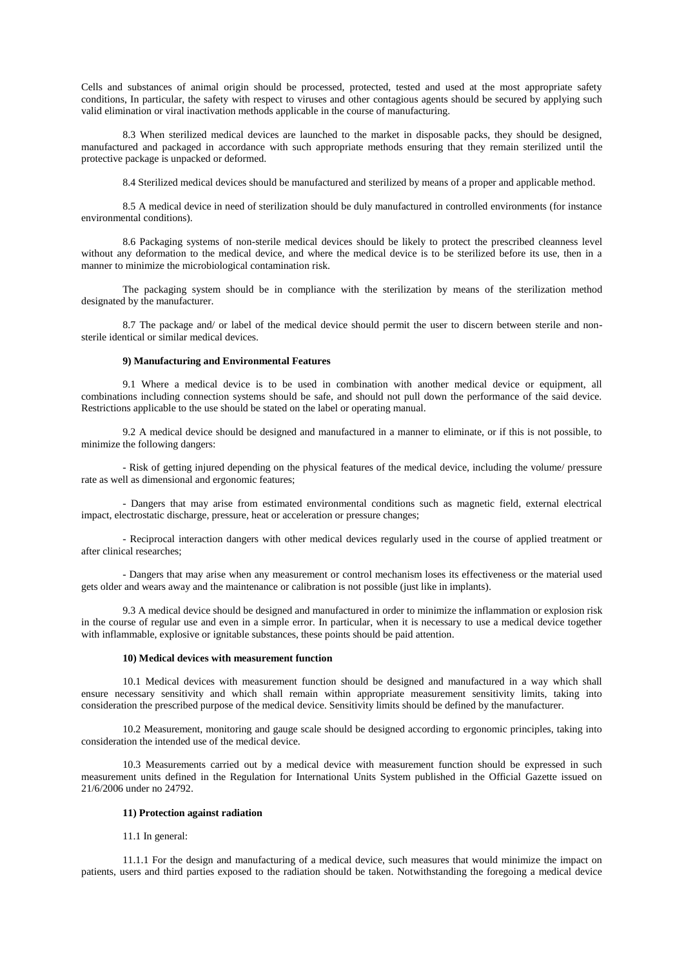Cells and substances of animal origin should be processed, protected, tested and used at the most appropriate safety conditions, In particular, the safety with respect to viruses and other contagious agents should be secured by applying such valid elimination or viral inactivation methods applicable in the course of manufacturing.

8.3 When sterilized medical devices are launched to the market in disposable packs, they should be designed, manufactured and packaged in accordance with such appropriate methods ensuring that they remain sterilized until the protective package is unpacked or deformed.

8.4 Sterilized medical devices should be manufactured and sterilized by means of a proper and applicable method.

8.5 A medical device in need of sterilization should be duly manufactured in controlled environments (for instance environmental conditions).

8.6 Packaging systems of non-sterile medical devices should be likely to protect the prescribed cleanness level without any deformation to the medical device, and where the medical device is to be sterilized before its use, then in a manner to minimize the microbiological contamination risk.

The packaging system should be in compliance with the sterilization by means of the sterilization method designated by the manufacturer.

8.7 The package and/ or label of the medical device should permit the user to discern between sterile and nonsterile identical or similar medical devices.

### **9) Manufacturing and Environmental Features**

9.1 Where a medical device is to be used in combination with another medical device or equipment, all combinations including connection systems should be safe, and should not pull down the performance of the said device. Restrictions applicable to the use should be stated on the label or operating manual.

9.2 A medical device should be designed and manufactured in a manner to eliminate, or if this is not possible, to minimize the following dangers:

- Risk of getting injured depending on the physical features of the medical device, including the volume/ pressure rate as well as dimensional and ergonomic features;

- Dangers that may arise from estimated environmental conditions such as magnetic field, external electrical impact, electrostatic discharge, pressure, heat or acceleration or pressure changes;

- Reciprocal interaction dangers with other medical devices regularly used in the course of applied treatment or after clinical researches;

- Dangers that may arise when any measurement or control mechanism loses its effectiveness or the material used gets older and wears away and the maintenance or calibration is not possible (just like in implants).

9.3 A medical device should be designed and manufactured in order to minimize the inflammation or explosion risk in the course of regular use and even in a simple error. In particular, when it is necessary to use a medical device together with inflammable, explosive or ignitable substances, these points should be paid attention.

#### **10) Medical devices with measurement function**

10.1 Medical devices with measurement function should be designed and manufactured in a way which shall ensure necessary sensitivity and which shall remain within appropriate measurement sensitivity limits, taking into consideration the prescribed purpose of the medical device. Sensitivity limits should be defined by the manufacturer.

10.2 Measurement, monitoring and gauge scale should be designed according to ergonomic principles, taking into consideration the intended use of the medical device.

10.3 Measurements carried out by a medical device with measurement function should be expressed in such measurement units defined in the Regulation for International Units System published in the Official Gazette issued on 21/6/2006 under no 24792.

#### **11) Protection against radiation**

11.1 In general:

11.1.1 For the design and manufacturing of a medical device, such measures that would minimize the impact on patients, users and third parties exposed to the radiation should be taken. Notwithstanding the foregoing a medical device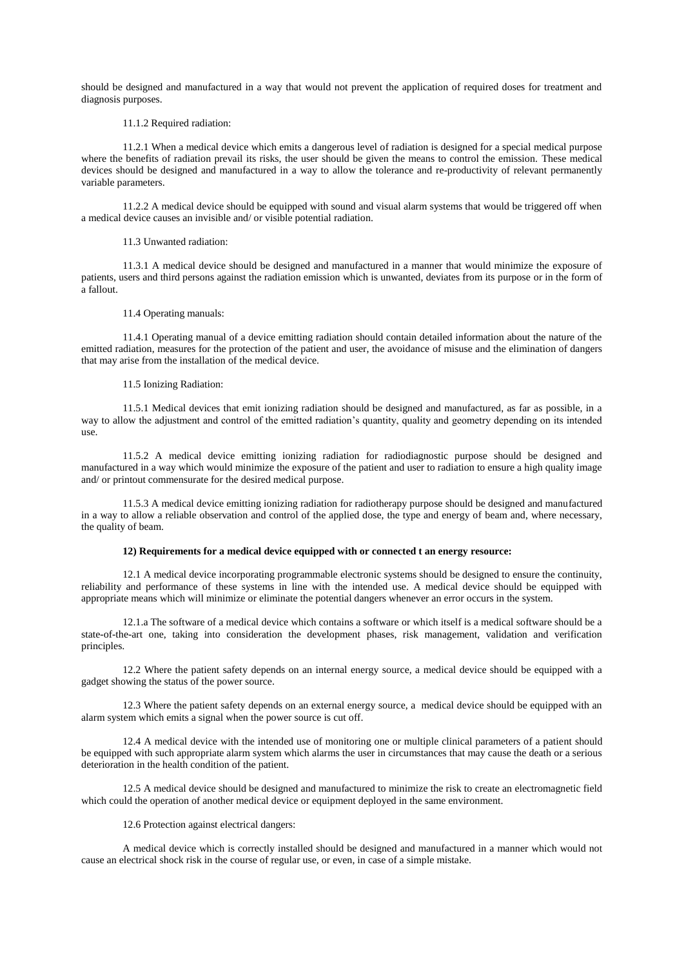should be designed and manufactured in a way that would not prevent the application of required doses for treatment and diagnosis purposes.

## 11.1.2 Required radiation:

11.2.1 When a medical device which emits a dangerous level of radiation is designed for a special medical purpose where the benefits of radiation prevail its risks, the user should be given the means to control the emission. These medical devices should be designed and manufactured in a way to allow the tolerance and re-productivity of relevant permanently variable parameters.

11.2.2 A medical device should be equipped with sound and visual alarm systems that would be triggered off when a medical device causes an invisible and/ or visible potential radiation.

## 11.3 Unwanted radiation:

11.3.1 A medical device should be designed and manufactured in a manner that would minimize the exposure of patients, users and third persons against the radiation emission which is unwanted, deviates from its purpose or in the form of a fallout.

## 11.4 Operating manuals:

11.4.1 Operating manual of a device emitting radiation should contain detailed information about the nature of the emitted radiation, measures for the protection of the patient and user, the avoidance of misuse and the elimination of dangers that may arise from the installation of the medical device.

# 11.5 Ionizing Radiation:

11.5.1 Medical devices that emit ionizing radiation should be designed and manufactured, as far as possible, in a way to allow the adjustment and control of the emitted radiation's quantity, quality and geometry depending on its intended use.

11.5.2 A medical device emitting ionizing radiation for radiodiagnostic purpose should be designed and manufactured in a way which would minimize the exposure of the patient and user to radiation to ensure a high quality image and/ or printout commensurate for the desired medical purpose.

11.5.3 A medical device emitting ionizing radiation for radiotherapy purpose should be designed and manufactured in a way to allow a reliable observation and control of the applied dose, the type and energy of beam and, where necessary, the quality of beam.

### **12) Requirements for a medical device equipped with or connected t an energy resource:**

12.1 A medical device incorporating programmable electronic systems should be designed to ensure the continuity, reliability and performance of these systems in line with the intended use. A medical device should be equipped with appropriate means which will minimize or eliminate the potential dangers whenever an error occurs in the system.

12.1.a The software of a medical device which contains a software or which itself is a medical software should be a state-of-the-art one, taking into consideration the development phases, risk management, validation and verification principles.

12.2 Where the patient safety depends on an internal energy source, a medical device should be equipped with a gadget showing the status of the power source.

12.3 Where the patient safety depends on an external energy source, a medical device should be equipped with an alarm system which emits a signal when the power source is cut off.

12.4 A medical device with the intended use of monitoring one or multiple clinical parameters of a patient should be equipped with such appropriate alarm system which alarms the user in circumstances that may cause the death or a serious deterioration in the health condition of the patient.

12.5 A medical device should be designed and manufactured to minimize the risk to create an electromagnetic field which could the operation of another medical device or equipment deployed in the same environment.

# 12.6 Protection against electrical dangers:

A medical device which is correctly installed should be designed and manufactured in a manner which would not cause an electrical shock risk in the course of regular use, or even, in case of a simple mistake.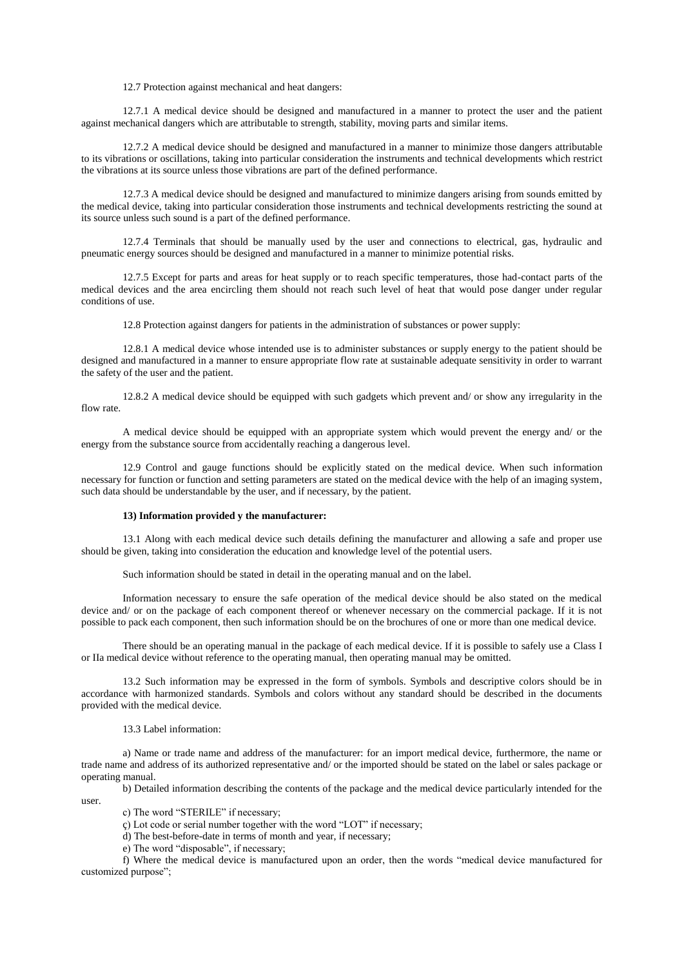12.7 Protection against mechanical and heat dangers:

12.7.1 A medical device should be designed and manufactured in a manner to protect the user and the patient against mechanical dangers which are attributable to strength, stability, moving parts and similar items.

12.7.2 A medical device should be designed and manufactured in a manner to minimize those dangers attributable to its vibrations or oscillations, taking into particular consideration the instruments and technical developments which restrict the vibrations at its source unless those vibrations are part of the defined performance.

12.7.3 A medical device should be designed and manufactured to minimize dangers arising from sounds emitted by the medical device, taking into particular consideration those instruments and technical developments restricting the sound at its source unless such sound is a part of the defined performance.

12.7.4 Terminals that should be manually used by the user and connections to electrical, gas, hydraulic and pneumatic energy sources should be designed and manufactured in a manner to minimize potential risks.

12.7.5 Except for parts and areas for heat supply or to reach specific temperatures, those had-contact parts of the medical devices and the area encircling them should not reach such level of heat that would pose danger under regular conditions of use.

12.8 Protection against dangers for patients in the administration of substances or power supply:

12.8.1 A medical device whose intended use is to administer substances or supply energy to the patient should be designed and manufactured in a manner to ensure appropriate flow rate at sustainable adequate sensitivity in order to warrant the safety of the user and the patient.

12.8.2 A medical device should be equipped with such gadgets which prevent and/ or show any irregularity in the flow rate.

A medical device should be equipped with an appropriate system which would prevent the energy and/ or the energy from the substance source from accidentally reaching a dangerous level.

12.9 Control and gauge functions should be explicitly stated on the medical device. When such information necessary for function or function and setting parameters are stated on the medical device with the help of an imaging system, such data should be understandable by the user, and if necessary, by the patient.

#### **13) Information provided y the manufacturer:**

13.1 Along with each medical device such details defining the manufacturer and allowing a safe and proper use should be given, taking into consideration the education and knowledge level of the potential users.

Such information should be stated in detail in the operating manual and on the label.

Information necessary to ensure the safe operation of the medical device should be also stated on the medical device and/ or on the package of each component thereof or whenever necessary on the commercial package. If it is not possible to pack each component, then such information should be on the brochures of one or more than one medical device.

There should be an operating manual in the package of each medical device. If it is possible to safely use a Class I or IIa medical device without reference to the operating manual, then operating manual may be omitted.

13.2 Such information may be expressed in the form of symbols. Symbols and descriptive colors should be in accordance with harmonized standards. Symbols and colors without any standard should be described in the documents provided with the medical device.

# 13.3 Label information:

a) Name or trade name and address of the manufacturer: for an import medical device, furthermore, the name or trade name and address of its authorized representative and/ or the imported should be stated on the label or sales package or operating manual.

b) Detailed information describing the contents of the package and the medical device particularly intended for the user.

c) The word "STERILE" if necessary;

ç) Lot code or serial number together with the word "LOT" if necessary;

d) The best-before-date in terms of month and year, if necessary;

e) The word "disposable", if necessary;

f) Where the medical device is manufactured upon an order, then the words "medical device manufactured for customized purpose";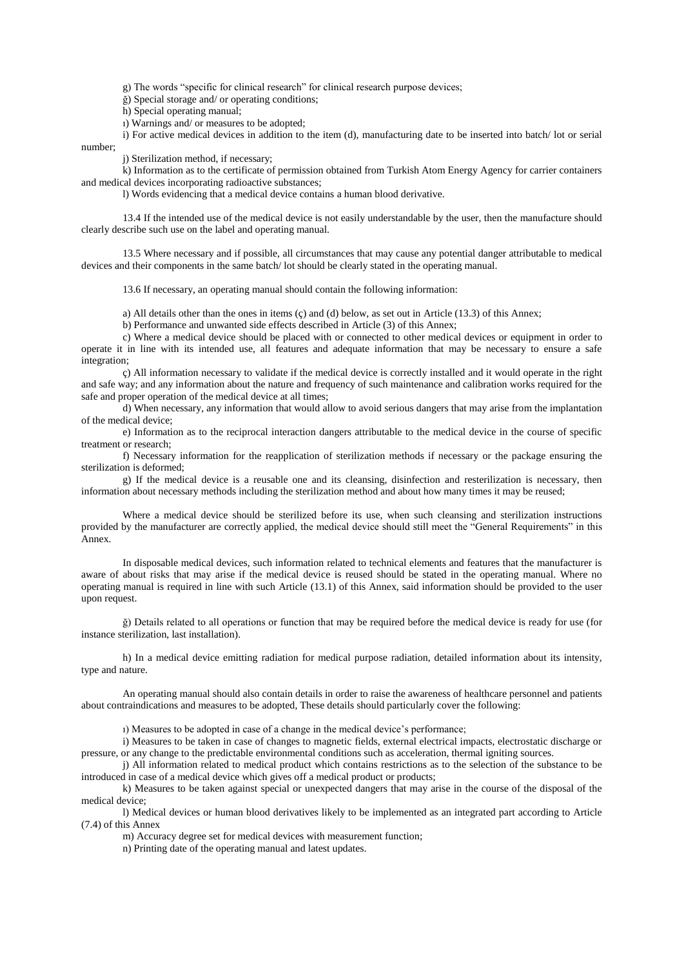g) The words "specific for clinical research" for clinical research purpose devices;

ğ) Special storage and/ or operating conditions;

h) Special operating manual;

ı) Warnings and/ or measures to be adopted;

i) For active medical devices in addition to the item (d), manufacturing date to be inserted into batch/ lot or serial number;

j) Sterilization method, if necessary;

k) Information as to the certificate of permission obtained from Turkish Atom Energy Agency for carrier containers and medical devices incorporating radioactive substances;

l) Words evidencing that a medical device contains a human blood derivative.

13.4 If the intended use of the medical device is not easily understandable by the user, then the manufacture should clearly describe such use on the label and operating manual.

13.5 Where necessary and if possible, all circumstances that may cause any potential danger attributable to medical devices and their components in the same batch/ lot should be clearly stated in the operating manual.

13.6 If necessary, an operating manual should contain the following information:

a) All details other than the ones in items (ç) and (d) below, as set out in Article (13.3) of this Annex;

b) Performance and unwanted side effects described in Article (3) of this Annex;

c) Where a medical device should be placed with or connected to other medical devices or equipment in order to operate it in line with its intended use, all features and adequate information that may be necessary to ensure a safe integration;

ç) All information necessary to validate if the medical device is correctly installed and it would operate in the right and safe way; and any information about the nature and frequency of such maintenance and calibration works required for the safe and proper operation of the medical device at all times;

d) When necessary, any information that would allow to avoid serious dangers that may arise from the implantation of the medical device;

e) Information as to the reciprocal interaction dangers attributable to the medical device in the course of specific treatment or research;

f) Necessary information for the reapplication of sterilization methods if necessary or the package ensuring the sterilization is deformed;

g) If the medical device is a reusable one and its cleansing, disinfection and resterilization is necessary, then information about necessary methods including the sterilization method and about how many times it may be reused;

Where a medical device should be sterilized before its use, when such cleansing and sterilization instructions provided by the manufacturer are correctly applied, the medical device should still meet the "General Requirements" in this Annex.

In disposable medical devices, such information related to technical elements and features that the manufacturer is aware of about risks that may arise if the medical device is reused should be stated in the operating manual. Where no operating manual is required in line with such Article (13.1) of this Annex, said information should be provided to the user upon request.

ğ) Details related to all operations or function that may be required before the medical device is ready for use (for instance sterilization, last installation).

h) In a medical device emitting radiation for medical purpose radiation, detailed information about its intensity, type and nature.

An operating manual should also contain details in order to raise the awareness of healthcare personnel and patients about contraindications and measures to be adopted, These details should particularly cover the following:

ı) Measures to be adopted in case of a change in the medical device's performance;

i) Measures to be taken in case of changes to magnetic fields, external electrical impacts, electrostatic discharge or pressure, or any change to the predictable environmental conditions such as acceleration, thermal igniting sources.

j) All information related to medical product which contains restrictions as to the selection of the substance to be introduced in case of a medical device which gives off a medical product or products;

k) Measures to be taken against special or unexpected dangers that may arise in the course of the disposal of the medical device;

l) Medical devices or human blood derivatives likely to be implemented as an integrated part according to Article (7.4) of this Annex

m) Accuracy degree set for medical devices with measurement function;

n) Printing date of the operating manual and latest updates.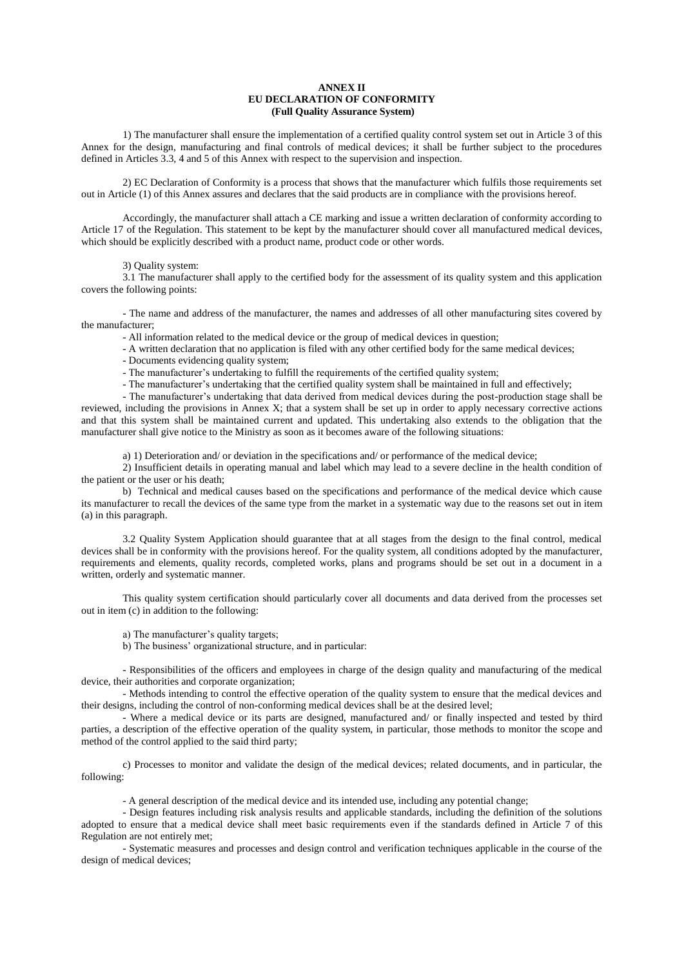# **ANNEX II EU DECLARATION OF CONFORMITY (Full Quality Assurance System)**

1) The manufacturer shall ensure the implementation of a certified quality control system set out in Article 3 of this Annex for the design, manufacturing and final controls of medical devices; it shall be further subject to the procedures defined in Articles 3.3, 4 and 5 of this Annex with respect to the supervision and inspection.

2) EC Declaration of Conformity is a process that shows that the manufacturer which fulfils those requirements set out in Article (1) of this Annex assures and declares that the said products are in compliance with the provisions hereof.

Accordingly, the manufacturer shall attach a CE marking and issue a written declaration of conformity according to Article 17 of the Regulation. This statement to be kept by the manufacturer should cover all manufactured medical devices, which should be explicitly described with a product name, product code or other words.

3) Quality system:

3.1 The manufacturer shall apply to the certified body for the assessment of its quality system and this application covers the following points:

- The name and address of the manufacturer, the names and addresses of all other manufacturing sites covered by the manufacturer;

- All information related to the medical device or the group of medical devices in question;

- A written declaration that no application is filed with any other certified body for the same medical devices;
- Documents evidencing quality system;

- The manufacturer's undertaking to fulfill the requirements of the certified quality system;

- The manufacturer's undertaking that the certified quality system shall be maintained in full and effectively;

- The manufacturer's undertaking that data derived from medical devices during the post-production stage shall be reviewed, including the provisions in Annex X; that a system shall be set up in order to apply necessary corrective actions and that this system shall be maintained current and updated. This undertaking also extends to the obligation that the manufacturer shall give notice to the Ministry as soon as it becomes aware of the following situations:

a) 1) Deterioration and/ or deviation in the specifications and/ or performance of the medical device;

2) Insufficient details in operating manual and label which may lead to a severe decline in the health condition of the patient or the user or his death;

b) Technical and medical causes based on the specifications and performance of the medical device which cause its manufacturer to recall the devices of the same type from the market in a systematic way due to the reasons set out in item (a) in this paragraph.

3.2 Quality System Application should guarantee that at all stages from the design to the final control, medical devices shall be in conformity with the provisions hereof. For the quality system, all conditions adopted by the manufacturer, requirements and elements, quality records, completed works, plans and programs should be set out in a document in a written, orderly and systematic manner.

This quality system certification should particularly cover all documents and data derived from the processes set out in item (c) in addition to the following:

a) The manufacturer's quality targets;

b) The business' organizational structure, and in particular:

- Responsibilities of the officers and employees in charge of the design quality and manufacturing of the medical device, their authorities and corporate organization;

- Methods intending to control the effective operation of the quality system to ensure that the medical devices and their designs, including the control of non-conforming medical devices shall be at the desired level;

- Where a medical device or its parts are designed, manufactured and/ or finally inspected and tested by third parties, a description of the effective operation of the quality system, in particular, those methods to monitor the scope and method of the control applied to the said third party;

c) Processes to monitor and validate the design of the medical devices; related documents, and in particular, the following:

- A general description of the medical device and its intended use, including any potential change;

- Design features including risk analysis results and applicable standards, including the definition of the solutions adopted to ensure that a medical device shall meet basic requirements even if the standards defined in Article 7 of this Regulation are not entirely met;

- Systematic measures and processes and design control and verification techniques applicable in the course of the design of medical devices;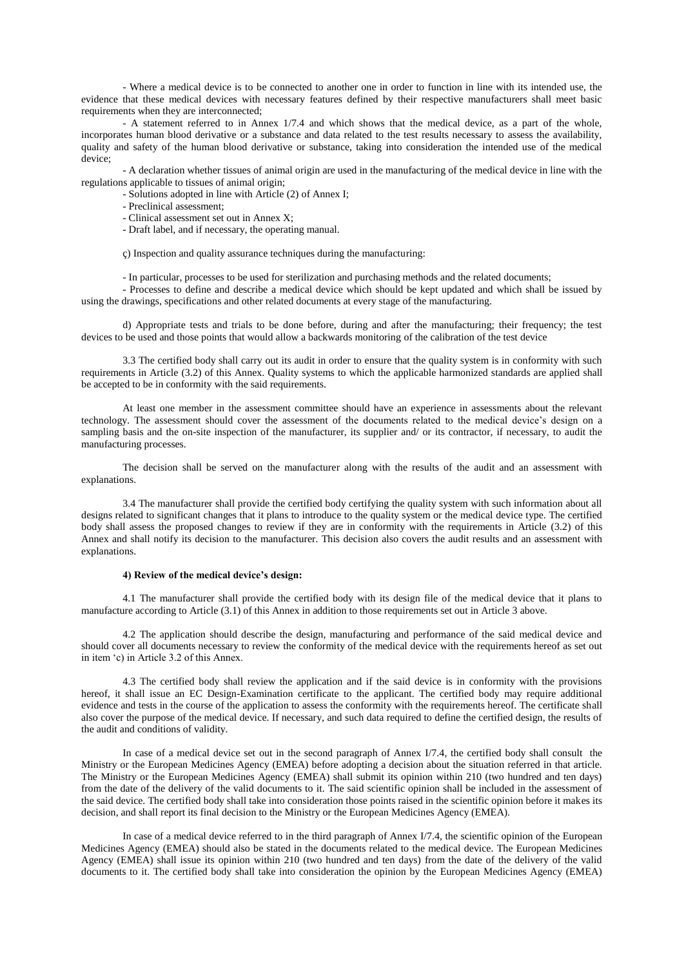- Where a medical device is to be connected to another one in order to function in line with its intended use, the evidence that these medical devices with necessary features defined by their respective manufacturers shall meet basic requirements when they are interconnected;

- A statement referred to in Annex 1/7.4 and which shows that the medical device, as a part of the whole, incorporates human blood derivative or a substance and data related to the test results necessary to assess the availability, quality and safety of the human blood derivative or substance, taking into consideration the intended use of the medical device;

- A declaration whether tissues of animal origin are used in the manufacturing of the medical device in line with the regulations applicable to tissues of animal origin;

- Solutions adopted in line with Article (2) of Annex I;

- Preclinical assessment;
- Clinical assessment set out in Annex X;
- Draft label, and if necessary, the operating manual.

ç) Inspection and quality assurance techniques during the manufacturing:

- In particular, processes to be used for sterilization and purchasing methods and the related documents;

- Processes to define and describe a medical device which should be kept updated and which shall be issued by using the drawings, specifications and other related documents at every stage of the manufacturing.

d) Appropriate tests and trials to be done before, during and after the manufacturing; their frequency; the test devices to be used and those points that would allow a backwards monitoring of the calibration of the test device

3.3 The certified body shall carry out its audit in order to ensure that the quality system is in conformity with such requirements in Article (3.2) of this Annex. Quality systems to which the applicable harmonized standards are applied shall be accepted to be in conformity with the said requirements.

At least one member in the assessment committee should have an experience in assessments about the relevant technology. The assessment should cover the assessment of the documents related to the medical device's design on a sampling basis and the on-site inspection of the manufacturer, its supplier and/ or its contractor, if necessary, to audit the manufacturing processes.

The decision shall be served on the manufacturer along with the results of the audit and an assessment with explanations.

3.4 The manufacturer shall provide the certified body certifying the quality system with such information about all designs related to significant changes that it plans to introduce to the quality system or the medical device type. The certified body shall assess the proposed changes to review if they are in conformity with the requirements in Article (3.2) of this Annex and shall notify its decision to the manufacturer. This decision also covers the audit results and an assessment with explanations.

### **4) Review of the medical device's design:**

4.1 The manufacturer shall provide the certified body with its design file of the medical device that it plans to manufacture according to Article (3.1) of this Annex in addition to those requirements set out in Article 3 above.

4.2 The application should describe the design, manufacturing and performance of the said medical device and should cover all documents necessary to review the conformity of the medical device with the requirements hereof as set out in item 'c) in Article 3.2 of this Annex.

4.3 The certified body shall review the application and if the said device is in conformity with the provisions hereof, it shall issue an EC Design-Examination certificate to the applicant. The certified body may require additional evidence and tests in the course of the application to assess the conformity with the requirements hereof. The certificate shall also cover the purpose of the medical device. If necessary, and such data required to define the certified design, the results of the audit and conditions of validity.

In case of a medical device set out in the second paragraph of Annex I/7.4, the certified body shall consult the Ministry or the European Medicines Agency (EMEA) before adopting a decision about the situation referred in that article. The Ministry or the European Medicines Agency (EMEA) shall submit its opinion within 210 (two hundred and ten days) from the date of the delivery of the valid documents to it. The said scientific opinion shall be included in the assessment of the said device. The certified body shall take into consideration those points raised in the scientific opinion before it makes its decision, and shall report its final decision to the Ministry or the European Medicines Agency (EMEA).

In case of a medical device referred to in the third paragraph of Annex I/7.4, the scientific opinion of the European Medicines Agency (EMEA) should also be stated in the documents related to the medical device. The European Medicines Agency (EMEA) shall issue its opinion within 210 (two hundred and ten days) from the date of the delivery of the valid documents to it. The certified body shall take into consideration the opinion by the European Medicines Agency (EMEA)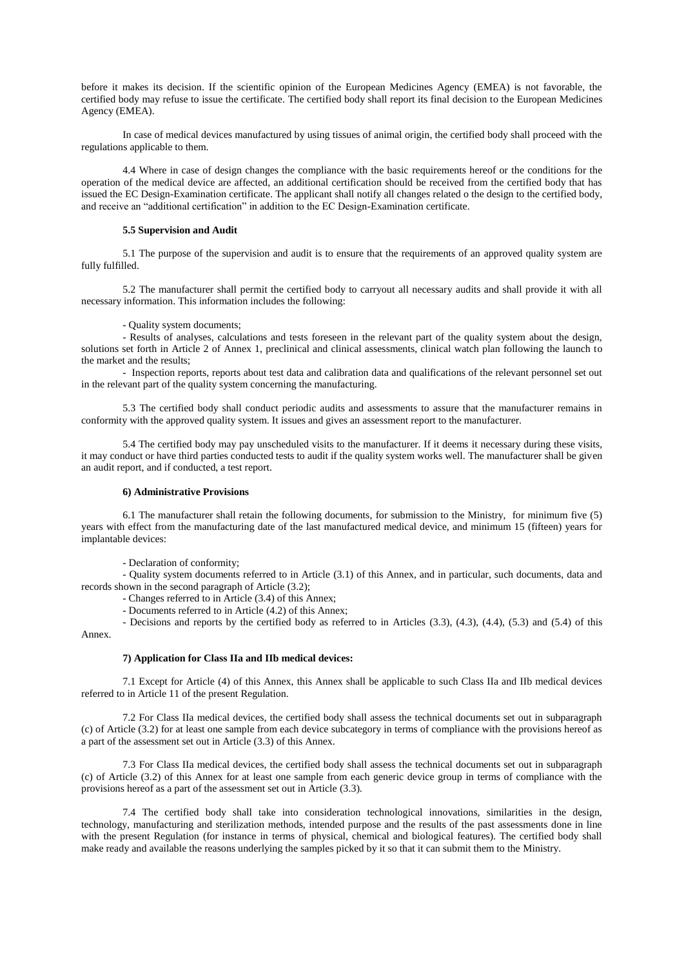before it makes its decision. If the scientific opinion of the European Medicines Agency (EMEA) is not favorable, the certified body may refuse to issue the certificate. The certified body shall report its final decision to the European Medicines Agency (EMEA).

In case of medical devices manufactured by using tissues of animal origin, the certified body shall proceed with the regulations applicable to them.

4.4 Where in case of design changes the compliance with the basic requirements hereof or the conditions for the operation of the medical device are affected, an additional certification should be received from the certified body that has issued the EC Design-Examination certificate. The applicant shall notify all changes related o the design to the certified body, and receive an "additional certification" in addition to the EC Design-Examination certificate.

### **5.5 Supervision and Audit**

5.1 The purpose of the supervision and audit is to ensure that the requirements of an approved quality system are fully fulfilled.

5.2 The manufacturer shall permit the certified body to carryout all necessary audits and shall provide it with all necessary information. This information includes the following:

- Quality system documents;

- Results of analyses, calculations and tests foreseen in the relevant part of the quality system about the design, solutions set forth in Article 2 of Annex 1, preclinical and clinical assessments, clinical watch plan following the launch to the market and the results;

- Inspection reports, reports about test data and calibration data and qualifications of the relevant personnel set out in the relevant part of the quality system concerning the manufacturing.

5.3 The certified body shall conduct periodic audits and assessments to assure that the manufacturer remains in conformity with the approved quality system. It issues and gives an assessment report to the manufacturer.

5.4 The certified body may pay unscheduled visits to the manufacturer. If it deems it necessary during these visits, it may conduct or have third parties conducted tests to audit if the quality system works well. The manufacturer shall be given an audit report, and if conducted, a test report.

#### **6) Administrative Provisions**

6.1 The manufacturer shall retain the following documents, for submission to the Ministry, for minimum five (5) years with effect from the manufacturing date of the last manufactured medical device, and minimum 15 (fifteen) years for implantable devices:

- Declaration of conformity;

- Quality system documents referred to in Article (3.1) of this Annex, and in particular, such documents, data and records shown in the second paragraph of Article (3.2);

- Changes referred to in Article (3.4) of this Annex;

- Documents referred to in Article (4.2) of this Annex;

- Decisions and reports by the certified body as referred to in Articles (3.3), (4.3), (4.4), (5.3) and (5.4) of this Annex.

#### **7) Application for Class IIa and IIb medical devices:**

7.1 Except for Article (4) of this Annex, this Annex shall be applicable to such Class IIa and IIb medical devices referred to in Article 11 of the present Regulation.

7.2 For Class IIa medical devices, the certified body shall assess the technical documents set out in subparagraph (c) of Article (3.2) for at least one sample from each device subcategory in terms of compliance with the provisions hereof as a part of the assessment set out in Article (3.3) of this Annex.

7.3 For Class IIa medical devices, the certified body shall assess the technical documents set out in subparagraph (c) of Article (3.2) of this Annex for at least one sample from each generic device group in terms of compliance with the provisions hereof as a part of the assessment set out in Article (3.3).

7.4 The certified body shall take into consideration technological innovations, similarities in the design, technology, manufacturing and sterilization methods, intended purpose and the results of the past assessments done in line with the present Regulation (for instance in terms of physical, chemical and biological features). The certified body shall make ready and available the reasons underlying the samples picked by it so that it can submit them to the Ministry.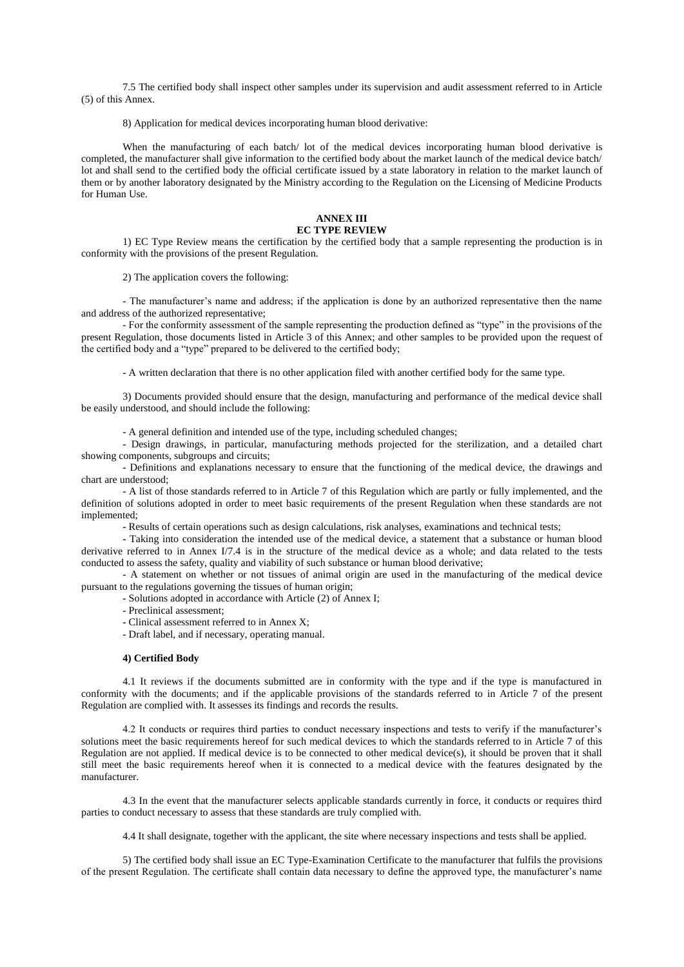7.5 The certified body shall inspect other samples under its supervision and audit assessment referred to in Article (5) of this Annex.

8) Application for medical devices incorporating human blood derivative:

When the manufacturing of each batch/ lot of the medical devices incorporating human blood derivative is completed, the manufacturer shall give information to the certified body about the market launch of the medical device batch/ lot and shall send to the certified body the official certificate issued by a state laboratory in relation to the market launch of them or by another laboratory designated by the Ministry according to the Regulation on the Licensing of Medicine Products for Human Use.

#### **ANNEX III EC TYPE REVIEW**

1) EC Type Review means the certification by the certified body that a sample representing the production is in conformity with the provisions of the present Regulation.

2) The application covers the following:

- The manufacturer's name and address; if the application is done by an authorized representative then the name and address of the authorized representative;

- For the conformity assessment of the sample representing the production defined as "type" in the provisions of the present Regulation, those documents listed in Article 3 of this Annex; and other samples to be provided upon the request of the certified body and a "type" prepared to be delivered to the certified body;

- A written declaration that there is no other application filed with another certified body for the same type.

3) Documents provided should ensure that the design, manufacturing and performance of the medical device shall be easily understood, and should include the following:

- A general definition and intended use of the type, including scheduled changes;

- Design drawings, in particular, manufacturing methods projected for the sterilization, and a detailed chart showing components, subgroups and circuits;

- Definitions and explanations necessary to ensure that the functioning of the medical device, the drawings and chart are understood;

- A list of those standards referred to in Article 7 of this Regulation which are partly or fully implemented, and the definition of solutions adopted in order to meet basic requirements of the present Regulation when these standards are not implemented;

- Results of certain operations such as design calculations, risk analyses, examinations and technical tests;

- Taking into consideration the intended use of the medical device, a statement that a substance or human blood derivative referred to in Annex I/7.4 is in the structure of the medical device as a whole; and data related to the tests conducted to assess the safety, quality and viability of such substance or human blood derivative;

- A statement on whether or not tissues of animal origin are used in the manufacturing of the medical device pursuant to the regulations governing the tissues of human origin;

- Solutions adopted in accordance with Article (2) of Annex I;

- Preclinical assessment;
- Clinical assessment referred to in Annex X;

- Draft label, and if necessary, operating manual.

#### **4) Certified Body**

4.1 It reviews if the documents submitted are in conformity with the type and if the type is manufactured in conformity with the documents; and if the applicable provisions of the standards referred to in Article 7 of the present Regulation are complied with. It assesses its findings and records the results.

4.2 It conducts or requires third parties to conduct necessary inspections and tests to verify if the manufacturer's solutions meet the basic requirements hereof for such medical devices to which the standards referred to in Article 7 of this Regulation are not applied. If medical device is to be connected to other medical device(s), it should be proven that it shall still meet the basic requirements hereof when it is connected to a medical device with the features designated by the manufacturer.

4.3 In the event that the manufacturer selects applicable standards currently in force, it conducts or requires third parties to conduct necessary to assess that these standards are truly complied with.

4.4 It shall designate, together with the applicant, the site where necessary inspections and tests shall be applied.

5) The certified body shall issue an EC Type-Examination Certificate to the manufacturer that fulfils the provisions of the present Regulation. The certificate shall contain data necessary to define the approved type, the manufacturer's name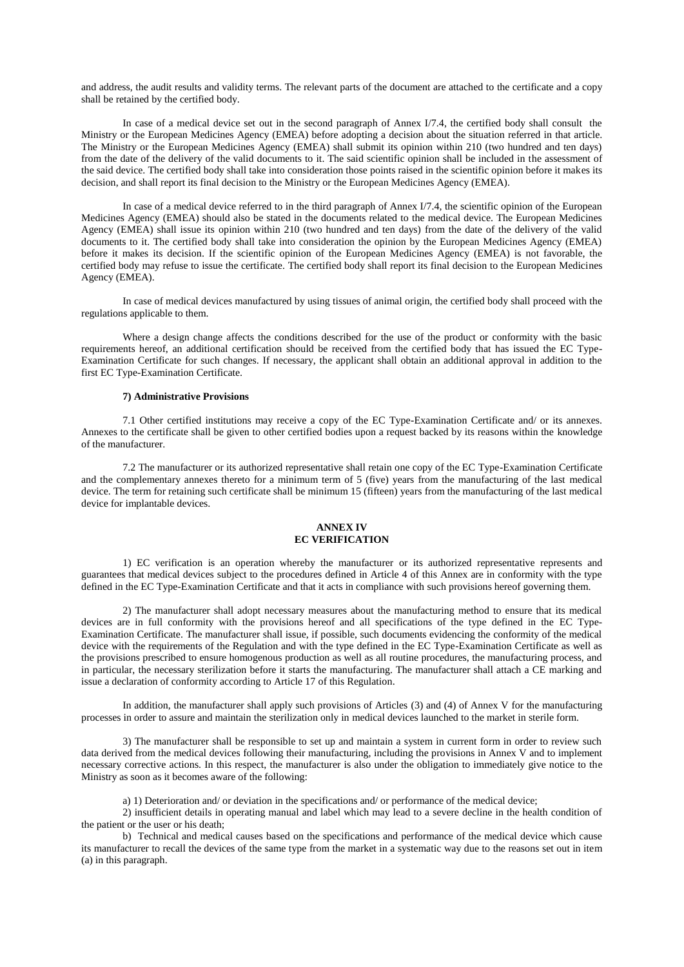and address, the audit results and validity terms. The relevant parts of the document are attached to the certificate and a copy shall be retained by the certified body.

In case of a medical device set out in the second paragraph of Annex I/7.4, the certified body shall consult the Ministry or the European Medicines Agency (EMEA) before adopting a decision about the situation referred in that article. The Ministry or the European Medicines Agency (EMEA) shall submit its opinion within 210 (two hundred and ten days) from the date of the delivery of the valid documents to it. The said scientific opinion shall be included in the assessment of the said device. The certified body shall take into consideration those points raised in the scientific opinion before it makes its decision, and shall report its final decision to the Ministry or the European Medicines Agency (EMEA).

In case of a medical device referred to in the third paragraph of Annex I/7.4, the scientific opinion of the European Medicines Agency (EMEA) should also be stated in the documents related to the medical device. The European Medicines Agency (EMEA) shall issue its opinion within 210 (two hundred and ten days) from the date of the delivery of the valid documents to it. The certified body shall take into consideration the opinion by the European Medicines Agency (EMEA) before it makes its decision. If the scientific opinion of the European Medicines Agency (EMEA) is not favorable, the certified body may refuse to issue the certificate. The certified body shall report its final decision to the European Medicines Agency (EMEA).

In case of medical devices manufactured by using tissues of animal origin, the certified body shall proceed with the regulations applicable to them.

Where a design change affects the conditions described for the use of the product or conformity with the basic requirements hereof, an additional certification should be received from the certified body that has issued the EC Type-Examination Certificate for such changes. If necessary, the applicant shall obtain an additional approval in addition to the first EC Type-Examination Certificate.

# **7) Administrative Provisions**

7.1 Other certified institutions may receive a copy of the EC Type-Examination Certificate and/ or its annexes. Annexes to the certificate shall be given to other certified bodies upon a request backed by its reasons within the knowledge of the manufacturer.

7.2 The manufacturer or its authorized representative shall retain one copy of the EC Type-Examination Certificate and the complementary annexes thereto for a minimum term of 5 (five) years from the manufacturing of the last medical device. The term for retaining such certificate shall be minimum 15 (fifteen) years from the manufacturing of the last medical device for implantable devices.

#### **ANNEX IV EC VERIFICATION**

1) EC verification is an operation whereby the manufacturer or its authorized representative represents and guarantees that medical devices subject to the procedures defined in Article 4 of this Annex are in conformity with the type defined in the EC Type-Examination Certificate and that it acts in compliance with such provisions hereof governing them.

2) The manufacturer shall adopt necessary measures about the manufacturing method to ensure that its medical devices are in full conformity with the provisions hereof and all specifications of the type defined in the EC Type-Examination Certificate. The manufacturer shall issue, if possible, such documents evidencing the conformity of the medical device with the requirements of the Regulation and with the type defined in the EC Type-Examination Certificate as well as the provisions prescribed to ensure homogenous production as well as all routine procedures, the manufacturing process, and in particular, the necessary sterilization before it starts the manufacturing. The manufacturer shall attach a CE marking and issue a declaration of conformity according to Article 17 of this Regulation.

In addition, the manufacturer shall apply such provisions of Articles (3) and (4) of Annex V for the manufacturing processes in order to assure and maintain the sterilization only in medical devices launched to the market in sterile form.

3) The manufacturer shall be responsible to set up and maintain a system in current form in order to review such data derived from the medical devices following their manufacturing, including the provisions in Annex V and to implement necessary corrective actions. In this respect, the manufacturer is also under the obligation to immediately give notice to the Ministry as soon as it becomes aware of the following:

a) 1) Deterioration and/ or deviation in the specifications and/ or performance of the medical device;

2) insufficient details in operating manual and label which may lead to a severe decline in the health condition of the patient or the user or his death;

b) Technical and medical causes based on the specifications and performance of the medical device which cause its manufacturer to recall the devices of the same type from the market in a systematic way due to the reasons set out in item (a) in this paragraph.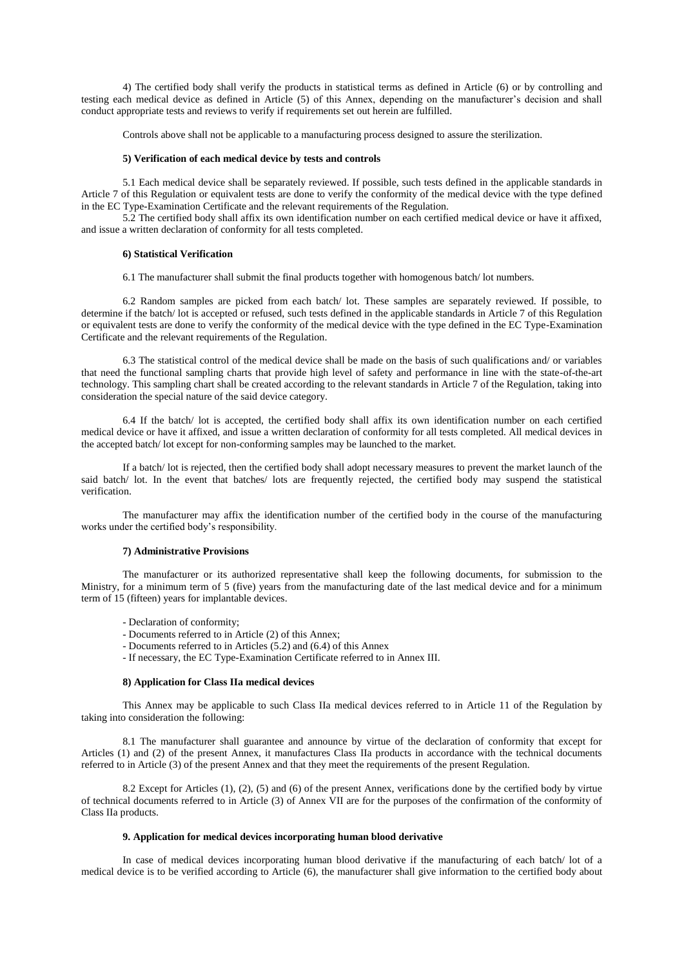4) The certified body shall verify the products in statistical terms as defined in Article (6) or by controlling and testing each medical device as defined in Article (5) of this Annex, depending on the manufacturer's decision and shall conduct appropriate tests and reviews to verify if requirements set out herein are fulfilled.

Controls above shall not be applicable to a manufacturing process designed to assure the sterilization.

# **5) Verification of each medical device by tests and controls**

5.1 Each medical device shall be separately reviewed. If possible, such tests defined in the applicable standards in Article 7 of this Regulation or equivalent tests are done to verify the conformity of the medical device with the type defined in the EC Type-Examination Certificate and the relevant requirements of the Regulation.

5.2 The certified body shall affix its own identification number on each certified medical device or have it affixed, and issue a written declaration of conformity for all tests completed.

#### **6) Statistical Verification**

6.1 The manufacturer shall submit the final products together with homogenous batch/ lot numbers.

6.2 Random samples are picked from each batch/ lot. These samples are separately reviewed. If possible, to determine if the batch/ lot is accepted or refused, such tests defined in the applicable standards in Article 7 of this Regulation or equivalent tests are done to verify the conformity of the medical device with the type defined in the EC Type-Examination Certificate and the relevant requirements of the Regulation.

6.3 The statistical control of the medical device shall be made on the basis of such qualifications and/ or variables that need the functional sampling charts that provide high level of safety and performance in line with the state-of-the-art technology. This sampling chart shall be created according to the relevant standards in Article 7 of the Regulation, taking into consideration the special nature of the said device category.

6.4 If the batch/ lot is accepted, the certified body shall affix its own identification number on each certified medical device or have it affixed, and issue a written declaration of conformity for all tests completed. All medical devices in the accepted batch/ lot except for non-conforming samples may be launched to the market.

If a batch/ lot is rejected, then the certified body shall adopt necessary measures to prevent the market launch of the said batch/ lot. In the event that batches/ lots are frequently rejected, the certified body may suspend the statistical verification.

The manufacturer may affix the identification number of the certified body in the course of the manufacturing works under the certified body's responsibility.

### **7) Administrative Provisions**

The manufacturer or its authorized representative shall keep the following documents, for submission to the Ministry, for a minimum term of 5 (five) years from the manufacturing date of the last medical device and for a minimum term of 15 (fifteen) years for implantable devices.

- Declaration of conformity;
- Documents referred to in Article (2) of this Annex;
- Documents referred to in Articles (5.2) and (6.4) of this Annex
- If necessary, the EC Type-Examination Certificate referred to in Annex III.

#### **8) Application for Class IIa medical devices**

This Annex may be applicable to such Class IIa medical devices referred to in Article 11 of the Regulation by taking into consideration the following:

8.1 The manufacturer shall guarantee and announce by virtue of the declaration of conformity that except for Articles (1) and (2) of the present Annex, it manufactures Class IIa products in accordance with the technical documents referred to in Article (3) of the present Annex and that they meet the requirements of the present Regulation.

8.2 Except for Articles (1), (2), (5) and (6) of the present Annex, verifications done by the certified body by virtue of technical documents referred to in Article (3) of Annex VII are for the purposes of the confirmation of the conformity of Class IIa products.

#### **9. Application for medical devices incorporating human blood derivative**

In case of medical devices incorporating human blood derivative if the manufacturing of each batch/ lot of a medical device is to be verified according to Article (6), the manufacturer shall give information to the certified body about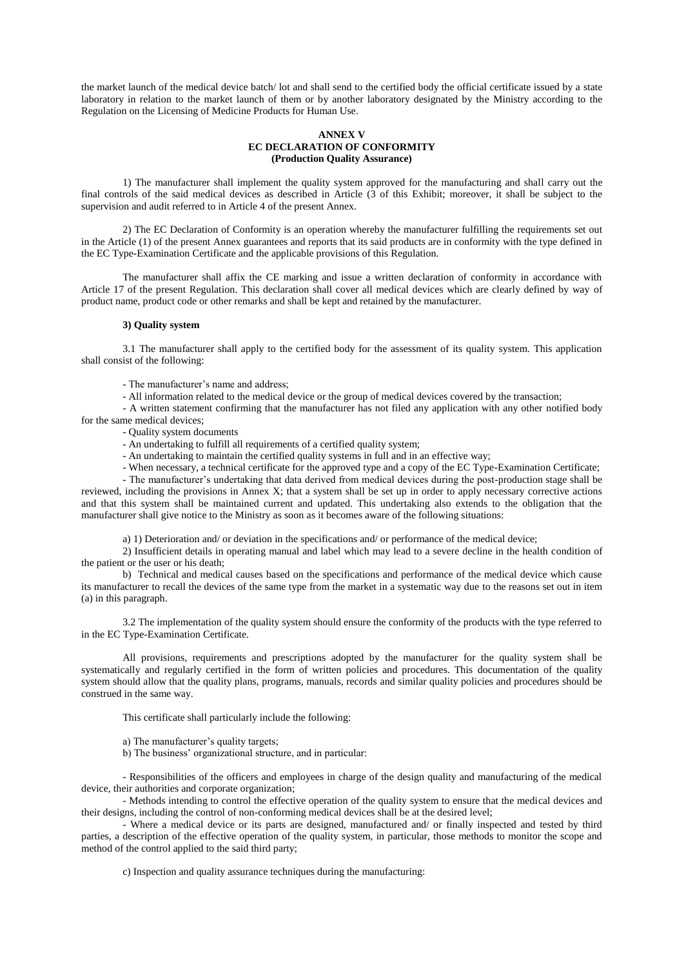the market launch of the medical device batch/ lot and shall send to the certified body the official certificate issued by a state laboratory in relation to the market launch of them or by another laboratory designated by the Ministry according to the Regulation on the Licensing of Medicine Products for Human Use.

# **ANNEX V EC DECLARATION OF CONFORMITY (Production Quality Assurance)**

1) The manufacturer shall implement the quality system approved for the manufacturing and shall carry out the final controls of the said medical devices as described in Article  $(3 \text{ of this Exhibit; moreover, it shall be subject to the})$ supervision and audit referred to in Article 4 of the present Annex.

2) The EC Declaration of Conformity is an operation whereby the manufacturer fulfilling the requirements set out in the Article (1) of the present Annex guarantees and reports that its said products are in conformity with the type defined in the EC Type-Examination Certificate and the applicable provisions of this Regulation.

The manufacturer shall affix the CE marking and issue a written declaration of conformity in accordance with Article 17 of the present Regulation. This declaration shall cover all medical devices which are clearly defined by way of product name, product code or other remarks and shall be kept and retained by the manufacturer.

# **3) Quality system**

3.1 The manufacturer shall apply to the certified body for the assessment of its quality system. This application shall consist of the following:

- The manufacturer's name and address;

- All information related to the medical device or the group of medical devices covered by the transaction;

- A written statement confirming that the manufacturer has not filed any application with any other notified body for the same medical devices;

- Quality system documents

- An undertaking to fulfill all requirements of a certified quality system;

- An undertaking to maintain the certified quality systems in full and in an effective way;

- When necessary, a technical certificate for the approved type and a copy of the EC Type-Examination Certificate;

- The manufacturer's undertaking that data derived from medical devices during the post-production stage shall be reviewed, including the provisions in Annex X; that a system shall be set up in order to apply necessary corrective actions and that this system shall be maintained current and updated. This undertaking also extends to the obligation that the manufacturer shall give notice to the Ministry as soon as it becomes aware of the following situations:

a) 1) Deterioration and/ or deviation in the specifications and/ or performance of the medical device;

2) Insufficient details in operating manual and label which may lead to a severe decline in the health condition of the patient or the user or his death;

b) Technical and medical causes based on the specifications and performance of the medical device which cause its manufacturer to recall the devices of the same type from the market in a systematic way due to the reasons set out in item (a) in this paragraph.

3.2 The implementation of the quality system should ensure the conformity of the products with the type referred to in the EC Type-Examination Certificate.

All provisions, requirements and prescriptions adopted by the manufacturer for the quality system shall be systematically and regularly certified in the form of written policies and procedures. This documentation of the quality system should allow that the quality plans, programs, manuals, records and similar quality policies and procedures should be construed in the same way.

This certificate shall particularly include the following:

- a) The manufacturer's quality targets;
- b) The business' organizational structure, and in particular:

- Responsibilities of the officers and employees in charge of the design quality and manufacturing of the medical device, their authorities and corporate organization;

- Methods intending to control the effective operation of the quality system to ensure that the medical devices and their designs, including the control of non-conforming medical devices shall be at the desired level;

- Where a medical device or its parts are designed, manufactured and/ or finally inspected and tested by third parties, a description of the effective operation of the quality system, in particular, those methods to monitor the scope and method of the control applied to the said third party;

c) Inspection and quality assurance techniques during the manufacturing: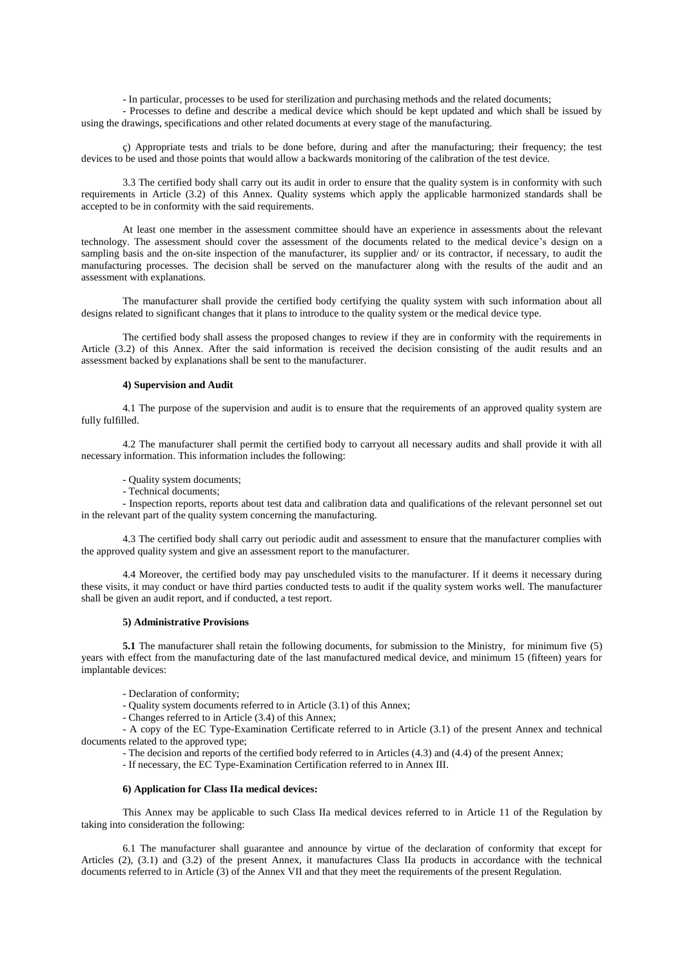- In particular, processes to be used for sterilization and purchasing methods and the related documents;

- Processes to define and describe a medical device which should be kept updated and which shall be issued by using the drawings, specifications and other related documents at every stage of the manufacturing.

ç) Appropriate tests and trials to be done before, during and after the manufacturing; their frequency; the test devices to be used and those points that would allow a backwards monitoring of the calibration of the test device.

3.3 The certified body shall carry out its audit in order to ensure that the quality system is in conformity with such requirements in Article (3.2) of this Annex. Quality systems which apply the applicable harmonized standards shall be accepted to be in conformity with the said requirements.

At least one member in the assessment committee should have an experience in assessments about the relevant technology. The assessment should cover the assessment of the documents related to the medical device's design on a sampling basis and the on-site inspection of the manufacturer, its supplier and/ or its contractor, if necessary, to audit the manufacturing processes. The decision shall be served on the manufacturer along with the results of the audit and an assessment with explanations.

The manufacturer shall provide the certified body certifying the quality system with such information about all designs related to significant changes that it plans to introduce to the quality system or the medical device type.

The certified body shall assess the proposed changes to review if they are in conformity with the requirements in Article (3.2) of this Annex. After the said information is received the decision consisting of the audit results and an assessment backed by explanations shall be sent to the manufacturer.

### **4) Supervision and Audit**

4.1 The purpose of the supervision and audit is to ensure that the requirements of an approved quality system are fully fulfilled.

4.2 The manufacturer shall permit the certified body to carryout all necessary audits and shall provide it with all necessary information. This information includes the following:

- Quality system documents;

- Technical documents;

- Inspection reports, reports about test data and calibration data and qualifications of the relevant personnel set out in the relevant part of the quality system concerning the manufacturing.

4.3 The certified body shall carry out periodic audit and assessment to ensure that the manufacturer complies with the approved quality system and give an assessment report to the manufacturer.

4.4 Moreover, the certified body may pay unscheduled visits to the manufacturer. If it deems it necessary during these visits, it may conduct or have third parties conducted tests to audit if the quality system works well. The manufacturer shall be given an audit report, and if conducted, a test report.

#### **5) Administrative Provisions**

**5.1** The manufacturer shall retain the following documents, for submission to the Ministry, for minimum five (5) years with effect from the manufacturing date of the last manufactured medical device, and minimum 15 (fifteen) years for implantable devices:

- Declaration of conformity;

- Quality system documents referred to in Article (3.1) of this Annex;

- Changes referred to in Article (3.4) of this Annex;

- A copy of the EC Type-Examination Certificate referred to in Article (3.1) of the present Annex and technical documents related to the approved type;

- The decision and reports of the certified body referred to in Articles (4.3) and (4.4) of the present Annex;

- If necessary, the EC Type-Examination Certification referred to in Annex III.

#### **6) Application for Class IIa medical devices:**

This Annex may be applicable to such Class IIa medical devices referred to in Article 11 of the Regulation by taking into consideration the following:

6.1 The manufacturer shall guarantee and announce by virtue of the declaration of conformity that except for Articles (2), (3.1) and (3.2) of the present Annex, it manufactures Class IIa products in accordance with the technical documents referred to in Article (3) of the Annex VII and that they meet the requirements of the present Regulation.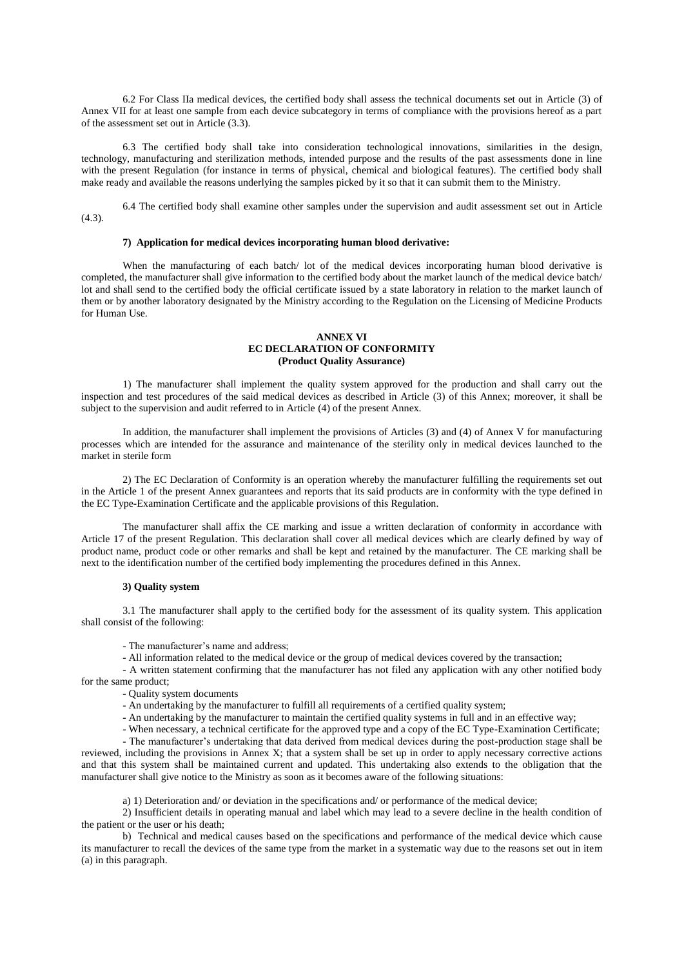6.2 For Class IIa medical devices, the certified body shall assess the technical documents set out in Article (3) of Annex VII for at least one sample from each device subcategory in terms of compliance with the provisions hereof as a part of the assessment set out in Article (3.3).

6.3 The certified body shall take into consideration technological innovations, similarities in the design, technology, manufacturing and sterilization methods, intended purpose and the results of the past assessments done in line with the present Regulation (for instance in terms of physical, chemical and biological features). The certified body shall make ready and available the reasons underlying the samples picked by it so that it can submit them to the Ministry.

6.4 The certified body shall examine other samples under the supervision and audit assessment set out in Article  $(4.3)$ .

## **7) Application for medical devices incorporating human blood derivative:**

When the manufacturing of each batch/ lot of the medical devices incorporating human blood derivative is completed, the manufacturer shall give information to the certified body about the market launch of the medical device batch/ lot and shall send to the certified body the official certificate issued by a state laboratory in relation to the market launch of them or by another laboratory designated by the Ministry according to the Regulation on the Licensing of Medicine Products for Human Use.

#### **ANNEX VI EC DECLARATION OF CONFORMITY (Product Quality Assurance)**

1) The manufacturer shall implement the quality system approved for the production and shall carry out the inspection and test procedures of the said medical devices as described in Article (3) of this Annex; moreover, it shall be subject to the supervision and audit referred to in Article (4) of the present Annex.

In addition, the manufacturer shall implement the provisions of Articles (3) and (4) of Annex V for manufacturing processes which are intended for the assurance and maintenance of the sterility only in medical devices launched to the market in sterile form

2) The EC Declaration of Conformity is an operation whereby the manufacturer fulfilling the requirements set out in the Article 1 of the present Annex guarantees and reports that its said products are in conformity with the type defined in the EC Type-Examination Certificate and the applicable provisions of this Regulation.

The manufacturer shall affix the CE marking and issue a written declaration of conformity in accordance with Article 17 of the present Regulation. This declaration shall cover all medical devices which are clearly defined by way of product name, product code or other remarks and shall be kept and retained by the manufacturer. The CE marking shall be next to the identification number of the certified body implementing the procedures defined in this Annex.

# **3) Quality system**

3.1 The manufacturer shall apply to the certified body for the assessment of its quality system. This application shall consist of the following:

- The manufacturer's name and address;

- All information related to the medical device or the group of medical devices covered by the transaction;

- A written statement confirming that the manufacturer has not filed any application with any other notified body for the same product;

- Quality system documents

- An undertaking by the manufacturer to fulfill all requirements of a certified quality system;

- An undertaking by the manufacturer to maintain the certified quality systems in full and in an effective way;

- When necessary, a technical certificate for the approved type and a copy of the EC Type-Examination Certificate;

- The manufacturer's undertaking that data derived from medical devices during the post-production stage shall be reviewed, including the provisions in Annex X; that a system shall be set up in order to apply necessary corrective actions and that this system shall be maintained current and updated. This undertaking also extends to the obligation that the manufacturer shall give notice to the Ministry as soon as it becomes aware of the following situations:

a) 1) Deterioration and/ or deviation in the specifications and/ or performance of the medical device;

2) Insufficient details in operating manual and label which may lead to a severe decline in the health condition of the patient or the user or his death;

b) Technical and medical causes based on the specifications and performance of the medical device which cause its manufacturer to recall the devices of the same type from the market in a systematic way due to the reasons set out in item (a) in this paragraph.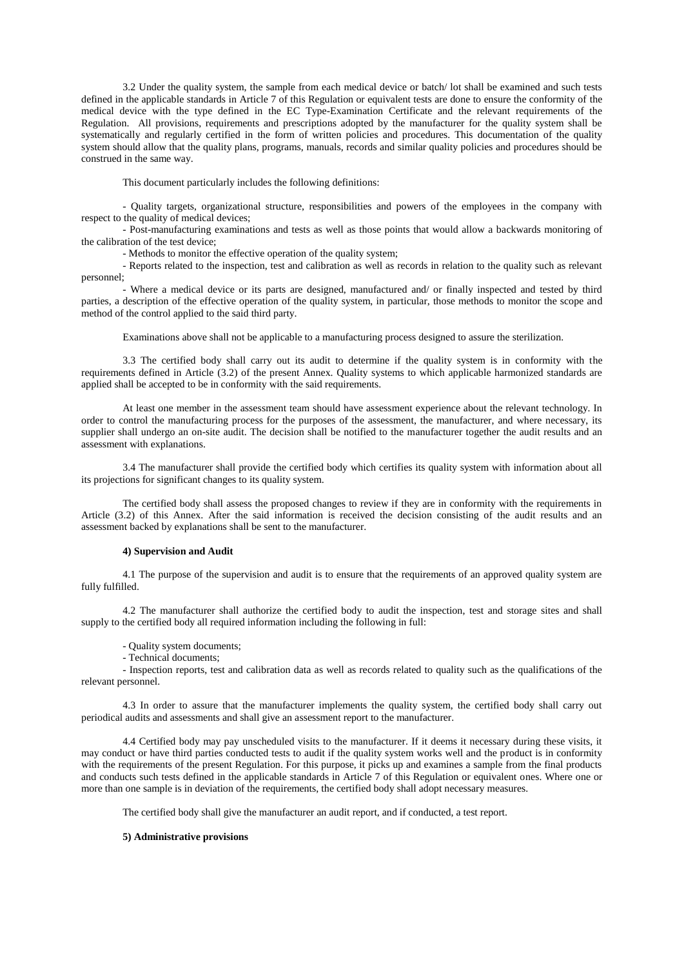3.2 Under the quality system, the sample from each medical device or batch/ lot shall be examined and such tests defined in the applicable standards in Article 7 of this Regulation or equivalent tests are done to ensure the conformity of the medical device with the type defined in the EC Type-Examination Certificate and the relevant requirements of the Regulation. All provisions, requirements and prescriptions adopted by the manufacturer for the quality system shall be systematically and regularly certified in the form of written policies and procedures. This documentation of the quality system should allow that the quality plans, programs, manuals, records and similar quality policies and procedures should be construed in the same way.

This document particularly includes the following definitions:

- Quality targets, organizational structure, responsibilities and powers of the employees in the company with respect to the quality of medical devices;

- Post-manufacturing examinations and tests as well as those points that would allow a backwards monitoring of the calibration of the test device;

- Methods to monitor the effective operation of the quality system;

- Reports related to the inspection, test and calibration as well as records in relation to the quality such as relevant personnel;

- Where a medical device or its parts are designed, manufactured and/ or finally inspected and tested by third parties, a description of the effective operation of the quality system, in particular, those methods to monitor the scope and method of the control applied to the said third party.

Examinations above shall not be applicable to a manufacturing process designed to assure the sterilization.

3.3 The certified body shall carry out its audit to determine if the quality system is in conformity with the requirements defined in Article (3.2) of the present Annex. Quality systems to which applicable harmonized standards are applied shall be accepted to be in conformity with the said requirements.

At least one member in the assessment team should have assessment experience about the relevant technology. In order to control the manufacturing process for the purposes of the assessment, the manufacturer, and where necessary, its supplier shall undergo an on-site audit. The decision shall be notified to the manufacturer together the audit results and an assessment with explanations.

3.4 The manufacturer shall provide the certified body which certifies its quality system with information about all its projections for significant changes to its quality system.

The certified body shall assess the proposed changes to review if they are in conformity with the requirements in Article (3.2) of this Annex. After the said information is received the decision consisting of the audit results and an assessment backed by explanations shall be sent to the manufacturer.

### **4) Supervision and Audit**

4.1 The purpose of the supervision and audit is to ensure that the requirements of an approved quality system are fully fulfilled.

4.2 The manufacturer shall authorize the certified body to audit the inspection, test and storage sites and shall supply to the certified body all required information including the following in full:

- Quality system documents;

- Technical documents;

- Inspection reports, test and calibration data as well as records related to quality such as the qualifications of the relevant personnel.

4.3 In order to assure that the manufacturer implements the quality system, the certified body shall carry out periodical audits and assessments and shall give an assessment report to the manufacturer.

4.4 Certified body may pay unscheduled visits to the manufacturer. If it deems it necessary during these visits, it may conduct or have third parties conducted tests to audit if the quality system works well and the product is in conformity with the requirements of the present Regulation. For this purpose, it picks up and examines a sample from the final products and conducts such tests defined in the applicable standards in Article 7 of this Regulation or equivalent ones. Where one or more than one sample is in deviation of the requirements, the certified body shall adopt necessary measures.

The certified body shall give the manufacturer an audit report, and if conducted, a test report.

# **5) Administrative provisions**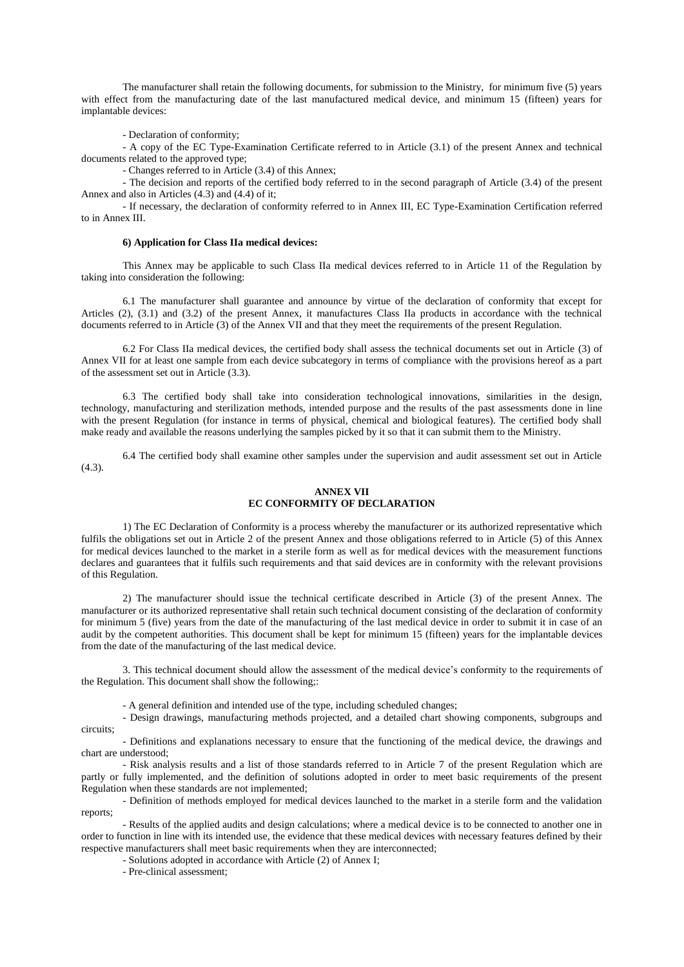The manufacturer shall retain the following documents, for submission to the Ministry, for minimum five (5) years with effect from the manufacturing date of the last manufactured medical device, and minimum 15 (fifteen) years for implantable devices:

- Declaration of conformity;

- A copy of the EC Type-Examination Certificate referred to in Article (3.1) of the present Annex and technical documents related to the approved type;

- Changes referred to in Article (3.4) of this Annex;

- The decision and reports of the certified body referred to in the second paragraph of Article (3.4) of the present Annex and also in Articles (4.3) and (4.4) of it;

- If necessary, the declaration of conformity referred to in Annex III, EC Type-Examination Certification referred to in Annex III.

# **6) Application for Class IIa medical devices:**

This Annex may be applicable to such Class IIa medical devices referred to in Article 11 of the Regulation by taking into consideration the following:

6.1 The manufacturer shall guarantee and announce by virtue of the declaration of conformity that except for Articles (2), (3.1) and (3.2) of the present Annex, it manufactures Class IIa products in accordance with the technical documents referred to in Article (3) of the Annex VII and that they meet the requirements of the present Regulation.

6.2 For Class IIa medical devices, the certified body shall assess the technical documents set out in Article (3) of Annex VII for at least one sample from each device subcategory in terms of compliance with the provisions hereof as a part of the assessment set out in Article (3.3).

6.3 The certified body shall take into consideration technological innovations, similarities in the design, technology, manufacturing and sterilization methods, intended purpose and the results of the past assessments done in line with the present Regulation (for instance in terms of physical, chemical and biological features). The certified body shall make ready and available the reasons underlying the samples picked by it so that it can submit them to the Ministry.

6.4 The certified body shall examine other samples under the supervision and audit assessment set out in Article  $(4.3).$ 

# **ANNEX VII EC CONFORMITY OF DECLARATION**

1) The EC Declaration of Conformity is a process whereby the manufacturer or its authorized representative which fulfils the obligations set out in Article 2 of the present Annex and those obligations referred to in Article (5) of this Annex for medical devices launched to the market in a sterile form as well as for medical devices with the measurement functions declares and guarantees that it fulfils such requirements and that said devices are in conformity with the relevant provisions of this Regulation.

2) The manufacturer should issue the technical certificate described in Article (3) of the present Annex. The manufacturer or its authorized representative shall retain such technical document consisting of the declaration of conformity for minimum 5 (five) years from the date of the manufacturing of the last medical device in order to submit it in case of an audit by the competent authorities. This document shall be kept for minimum 15 (fifteen) years for the implantable devices from the date of the manufacturing of the last medical device.

3. This technical document should allow the assessment of the medical device's conformity to the requirements of the Regulation. This document shall show the following;:

- A general definition and intended use of the type, including scheduled changes;

- Design drawings, manufacturing methods projected, and a detailed chart showing components, subgroups and circuits;

- Definitions and explanations necessary to ensure that the functioning of the medical device, the drawings and chart are understood;

- Risk analysis results and a list of those standards referred to in Article 7 of the present Regulation which are partly or fully implemented, and the definition of solutions adopted in order to meet basic requirements of the present Regulation when these standards are not implemented;

- Definition of methods employed for medical devices launched to the market in a sterile form and the validation reports;

- Results of the applied audits and design calculations; where a medical device is to be connected to another one in order to function in line with its intended use, the evidence that these medical devices with necessary features defined by their respective manufacturers shall meet basic requirements when they are interconnected;

- Solutions adopted in accordance with Article (2) of Annex I;

- Pre-clinical assessment;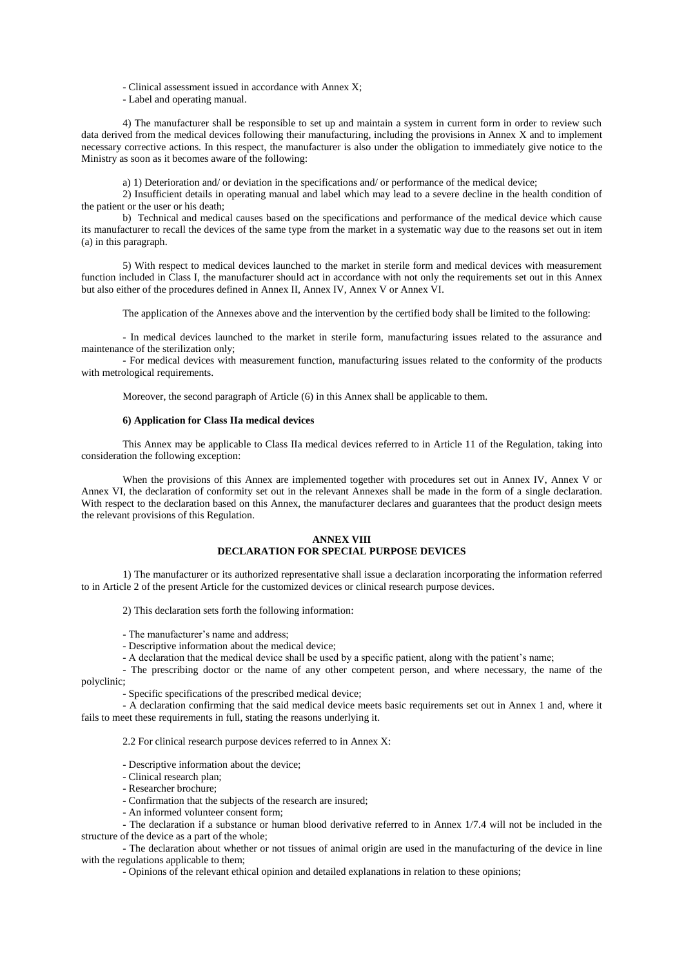- Clinical assessment issued in accordance with Annex X;

- Label and operating manual.

4) The manufacturer shall be responsible to set up and maintain a system in current form in order to review such data derived from the medical devices following their manufacturing, including the provisions in Annex X and to implement necessary corrective actions. In this respect, the manufacturer is also under the obligation to immediately give notice to the Ministry as soon as it becomes aware of the following:

a) 1) Deterioration and/ or deviation in the specifications and/ or performance of the medical device;

2) Insufficient details in operating manual and label which may lead to a severe decline in the health condition of the patient or the user or his death;

b) Technical and medical causes based on the specifications and performance of the medical device which cause its manufacturer to recall the devices of the same type from the market in a systematic way due to the reasons set out in item (a) in this paragraph.

5) With respect to medical devices launched to the market in sterile form and medical devices with measurement function included in Class I, the manufacturer should act in accordance with not only the requirements set out in this Annex but also either of the procedures defined in Annex II, Annex IV, Annex V or Annex VI.

The application of the Annexes above and the intervention by the certified body shall be limited to the following:

- In medical devices launched to the market in sterile form, manufacturing issues related to the assurance and maintenance of the sterilization only;

- For medical devices with measurement function, manufacturing issues related to the conformity of the products with metrological requirements.

Moreover, the second paragraph of Article (6) in this Annex shall be applicable to them.

# **6) Application for Class IIa medical devices**

This Annex may be applicable to Class IIa medical devices referred to in Article 11 of the Regulation, taking into consideration the following exception:

When the provisions of this Annex are implemented together with procedures set out in Annex IV, Annex V or Annex VI, the declaration of conformity set out in the relevant Annexes shall be made in the form of a single declaration. With respect to the declaration based on this Annex, the manufacturer declares and guarantees that the product design meets the relevant provisions of this Regulation.

# **ANNEX VIII DECLARATION FOR SPECIAL PURPOSE DEVICES**

1) The manufacturer or its authorized representative shall issue a declaration incorporating the information referred to in Article 2 of the present Article for the customized devices or clinical research purpose devices.

2) This declaration sets forth the following information:

- The manufacturer's name and address;

- Descriptive information about the medical device;
- A declaration that the medical device shall be used by a specific patient, along with the patient's name;

- The prescribing doctor or the name of any other competent person, and where necessary, the name of the polyclinic;

- Specific specifications of the prescribed medical device;

- A declaration confirming that the said medical device meets basic requirements set out in Annex 1 and, where it fails to meet these requirements in full, stating the reasons underlying it.

2.2 For clinical research purpose devices referred to in Annex X:

- Descriptive information about the device;
- Clinical research plan;
- Researcher brochure;
- Confirmation that the subjects of the research are insured;
- An informed volunteer consent form;

- The declaration if a substance or human blood derivative referred to in Annex 1/7.4 will not be included in the structure of the device as a part of the whole;

- The declaration about whether or not tissues of animal origin are used in the manufacturing of the device in line with the regulations applicable to them;

- Opinions of the relevant ethical opinion and detailed explanations in relation to these opinions;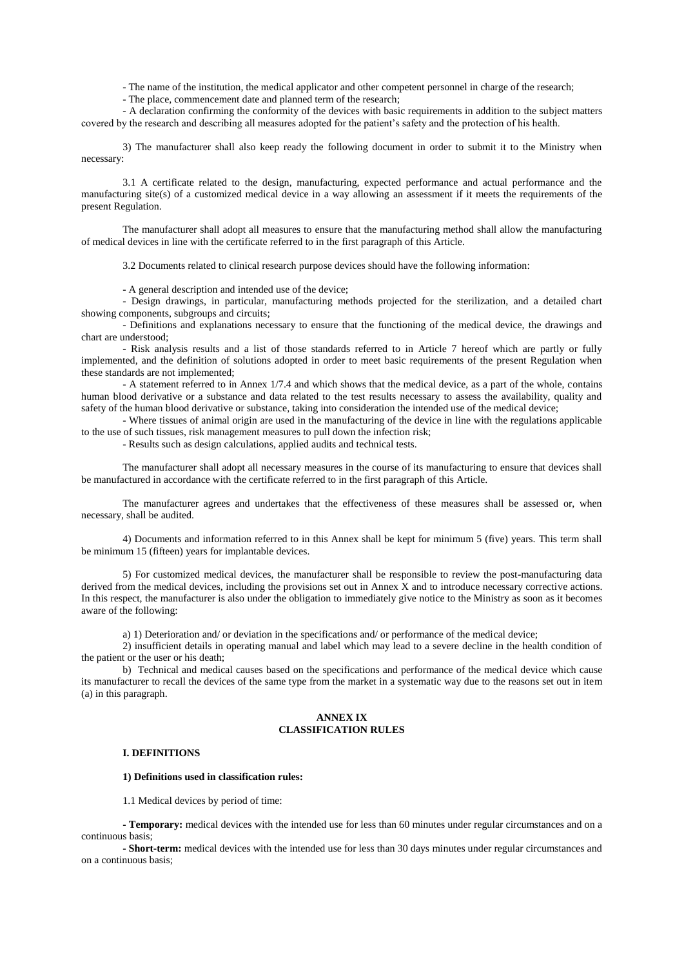- The name of the institution, the medical applicator and other competent personnel in charge of the research;

- The place, commencement date and planned term of the research;

- A declaration confirming the conformity of the devices with basic requirements in addition to the subject matters covered by the research and describing all measures adopted for the patient's safety and the protection of his health.

3) The manufacturer shall also keep ready the following document in order to submit it to the Ministry when necessary:

3.1 A certificate related to the design, manufacturing, expected performance and actual performance and the manufacturing site(s) of a customized medical device in a way allowing an assessment if it meets the requirements of the present Regulation.

The manufacturer shall adopt all measures to ensure that the manufacturing method shall allow the manufacturing of medical devices in line with the certificate referred to in the first paragraph of this Article.

3.2 Documents related to clinical research purpose devices should have the following information:

- A general description and intended use of the device;

- Design drawings, in particular, manufacturing methods projected for the sterilization, and a detailed chart showing components, subgroups and circuits;

- Definitions and explanations necessary to ensure that the functioning of the medical device, the drawings and chart are understood;

- Risk analysis results and a list of those standards referred to in Article 7 hereof which are partly or fully implemented, and the definition of solutions adopted in order to meet basic requirements of the present Regulation when these standards are not implemented;

- A statement referred to in Annex 1/7.4 and which shows that the medical device, as a part of the whole, contains human blood derivative or a substance and data related to the test results necessary to assess the availability, quality and safety of the human blood derivative or substance, taking into consideration the intended use of the medical device;

- Where tissues of animal origin are used in the manufacturing of the device in line with the regulations applicable to the use of such tissues, risk management measures to pull down the infection risk;

- Results such as design calculations, applied audits and technical tests.

The manufacturer shall adopt all necessary measures in the course of its manufacturing to ensure that devices shall be manufactured in accordance with the certificate referred to in the first paragraph of this Article.

The manufacturer agrees and undertakes that the effectiveness of these measures shall be assessed or, when necessary, shall be audited.

4) Documents and information referred to in this Annex shall be kept for minimum 5 (five) years. This term shall be minimum 15 (fifteen) years for implantable devices.

5) For customized medical devices, the manufacturer shall be responsible to review the post-manufacturing data derived from the medical devices, including the provisions set out in Annex X and to introduce necessary corrective actions. In this respect, the manufacturer is also under the obligation to immediately give notice to the Ministry as soon as it becomes aware of the following:

a) 1) Deterioration and/ or deviation in the specifications and/ or performance of the medical device;

2) insufficient details in operating manual and label which may lead to a severe decline in the health condition of the patient or the user or his death;

b) Technical and medical causes based on the specifications and performance of the medical device which cause its manufacturer to recall the devices of the same type from the market in a systematic way due to the reasons set out in item (a) in this paragraph.

#### **ANNEX IX CLASSIFICATION RULES**

#### **I. DEFINITIONS**

#### **1) Definitions used in classification rules:**

1.1 Medical devices by period of time:

**- Temporary:** medical devices with the intended use for less than 60 minutes under regular circumstances and on a continuous basis;

**- Short-term:** medical devices with the intended use for less than 30 days minutes under regular circumstances and on a continuous basis;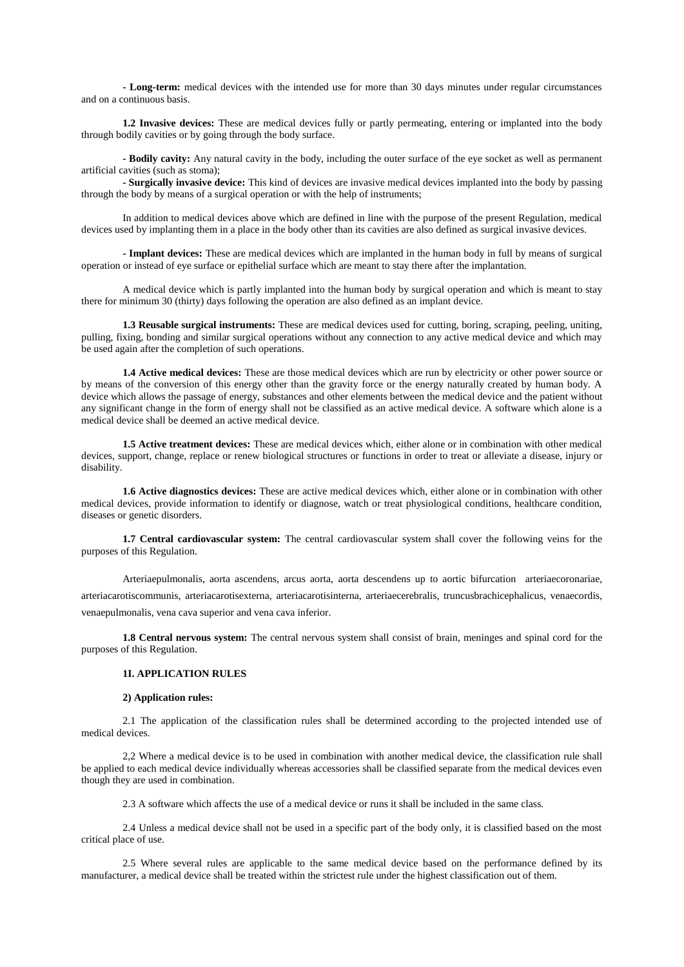**- Long-term:** medical devices with the intended use for more than 30 days minutes under regular circumstances and on a continuous basis.

**1.2 Invasive devices:** These are medical devices fully or partly permeating, entering or implanted into the body through bodily cavities or by going through the body surface.

**- Bodily cavity:** Any natural cavity in the body, including the outer surface of the eye socket as well as permanent artificial cavities (such as stoma);

**- Surgically invasive device:** This kind of devices are invasive medical devices implanted into the body by passing through the body by means of a surgical operation or with the help of instruments;

In addition to medical devices above which are defined in line with the purpose of the present Regulation, medical devices used by implanting them in a place in the body other than its cavities are also defined as surgical invasive devices.

**- Implant devices:** These are medical devices which are implanted in the human body in full by means of surgical operation or instead of eye surface or epithelial surface which are meant to stay there after the implantation.

A medical device which is partly implanted into the human body by surgical operation and which is meant to stay there for minimum 30 (thirty) days following the operation are also defined as an implant device.

**1.3 Reusable surgical instruments:** These are medical devices used for cutting, boring, scraping, peeling, uniting, pulling, fixing, bonding and similar surgical operations without any connection to any active medical device and which may be used again after the completion of such operations.

**1.4 Active medical devices:** These are those medical devices which are run by electricity or other power source or by means of the conversion of this energy other than the gravity force or the energy naturally created by human body. A device which allows the passage of energy, substances and other elements between the medical device and the patient without any significant change in the form of energy shall not be classified as an active medical device. A software which alone is a medical device shall be deemed an active medical device.

**1.5 Active treatment devices:** These are medical devices which, either alone or in combination with other medical devices, support, change, replace or renew biological structures or functions in order to treat or alleviate a disease, injury or disability.

**1.6 Active diagnostics devices:** These are active medical devices which, either alone or in combination with other medical devices, provide information to identify or diagnose, watch or treat physiological conditions, healthcare condition, diseases or genetic disorders.

**1.7 Central cardiovascular system:** The central cardiovascular system shall cover the following veins for the purposes of this Regulation.

Arteriaepulmonalis, aorta ascendens, arcus aorta, aorta descendens up to aortic bifurcation arteriaecoronariae, arteriacarotiscommunis, arteriacarotisexterna, arteriacarotisinterna, arteriaecerebralis, truncusbrachicephalicus, venaecordis, venaepulmonalis, vena cava superior and vena cava inferior.

**1.8 Central nervous system:** The central nervous system shall consist of brain, meninges and spinal cord for the purposes of this Regulation.

# **1I. APPLICATION RULES**

### **2) Application rules:**

2.1 The application of the classification rules shall be determined according to the projected intended use of medical devices.

2,2 Where a medical device is to be used in combination with another medical device, the classification rule shall be applied to each medical device individually whereas accessories shall be classified separate from the medical devices even though they are used in combination.

2.3 A software which affects the use of a medical device or runs it shall be included in the same class.

2.4 Unless a medical device shall not be used in a specific part of the body only, it is classified based on the most critical place of use.

2.5 Where several rules are applicable to the same medical device based on the performance defined by its manufacturer, a medical device shall be treated within the strictest rule under the highest classification out of them.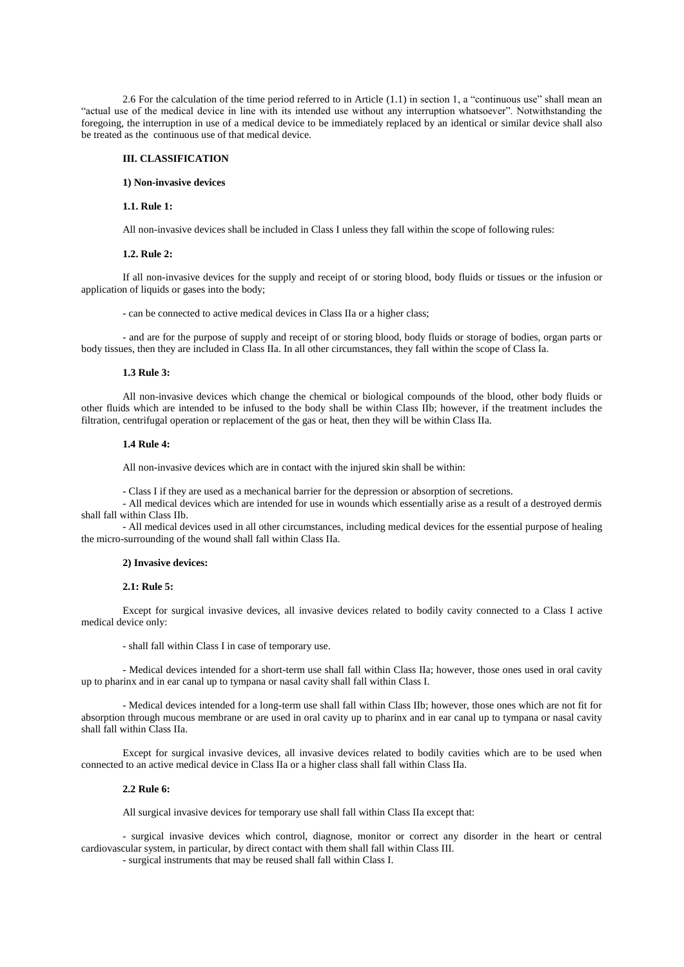2.6 For the calculation of the time period referred to in Article (1.1) in section 1, a "continuous use" shall mean an "actual use of the medical device in line with its intended use without any interruption whatsoever". Notwithstanding the foregoing, the interruption in use of a medical device to be immediately replaced by an identical or similar device shall also be treated as the continuous use of that medical device.

# **III. CLASSIFICATION**

#### **1) Non-invasive devices**

# **1.1. Rule 1:**

All non-invasive devices shall be included in Class I unless they fall within the scope of following rules:

#### **1.2. Rule 2:**

If all non-invasive devices for the supply and receipt of or storing blood, body fluids or tissues or the infusion or application of liquids or gases into the body;

- can be connected to active medical devices in Class IIa or a higher class;

- and are for the purpose of supply and receipt of or storing blood, body fluids or storage of bodies, organ parts or body tissues, then they are included in Class IIa. In all other circumstances, they fall within the scope of Class Ia.

#### **1.3 Rule 3:**

All non-invasive devices which change the chemical or biological compounds of the blood, other body fluids or other fluids which are intended to be infused to the body shall be within Class IIb; however, if the treatment includes the filtration, centrifugal operation or replacement of the gas or heat, then they will be within Class IIa.

## **1.4 Rule 4:**

All non-invasive devices which are in contact with the injured skin shall be within:

- Class I if they are used as a mechanical barrier for the depression or absorption of secretions.

- All medical devices which are intended for use in wounds which essentially arise as a result of a destroyed dermis shall fall within Class IIb.

- All medical devices used in all other circumstances, including medical devices for the essential purpose of healing the micro-surrounding of the wound shall fall within Class IIa.

#### **2) Invasive devices:**

#### **2.1: Rule 5:**

Except for surgical invasive devices, all invasive devices related to bodily cavity connected to a Class I active medical device only:

- shall fall within Class I in case of temporary use.

- Medical devices intended for a short-term use shall fall within Class IIa; however, those ones used in oral cavity up t[o pharinx](http://tureng.com/search/pharinx) and in ear canal up to tympana or nasal cavity shall fall within Class I.

- Medical devices intended for a long-term use shall fall within Class IIb; however, those ones which are not fit for absorption through mucous membrane or are used in oral cavity up to [pharinx](http://tureng.com/search/pharinx) and in ear canal up to tympana or nasal cavity shall fall within Class IIa.

Except for surgical invasive devices, all invasive devices related to bodily cavities which are to be used when connected to an active medical device in Class IIa or a higher class shall fall within Class IIa.

#### **2.2 Rule 6:**

All surgical invasive devices for temporary use shall fall within Class IIa except that:

- surgical invasive devices which control, diagnose, monitor or correct any disorder in the heart or central cardiovascular system, in particular, by direct contact with them shall fall within Class III.

- surgical instruments that may be reused shall fall within Class I.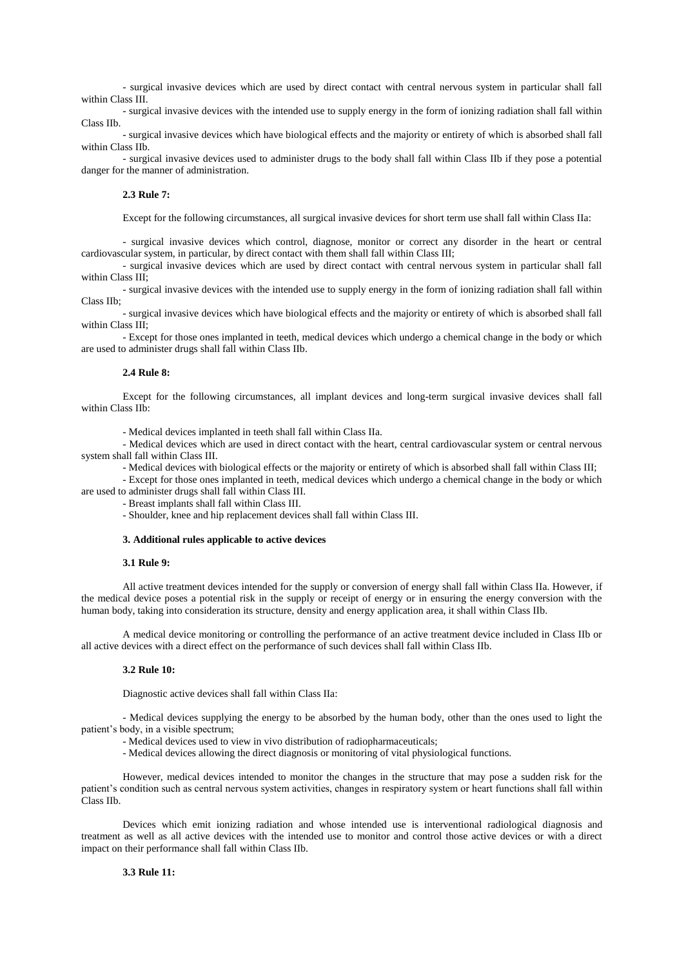- surgical invasive devices which are used by direct contact with central nervous system in particular shall fall within Class III.

- surgical invasive devices with the intended use to supply energy in the form of ionizing radiation shall fall within Class IIb.

- surgical invasive devices which have biological effects and the majority or entirety of which is absorbed shall fall within Class IIb.

- surgical invasive devices used to administer drugs to the body shall fall within Class IIb if they pose a potential danger for the manner of administration.

# **2.3 Rule 7:**

Except for the following circumstances, all surgical invasive devices for short term use shall fall within Class IIa:

- surgical invasive devices which control, diagnose, monitor or correct any disorder in the heart or central cardiovascular system, in particular, by direct contact with them shall fall within Class III;

- surgical invasive devices which are used by direct contact with central nervous system in particular shall fall within Class III;

- surgical invasive devices with the intended use to supply energy in the form of ionizing radiation shall fall within Class IIb;

- surgical invasive devices which have biological effects and the majority or entirety of which is absorbed shall fall within Class III;

- Except for those ones implanted in teeth, medical devices which undergo a chemical change in the body or which are used to administer drugs shall fall within Class IIb.

### **2.4 Rule 8:**

Except for the following circumstances, all implant devices and long-term surgical invasive devices shall fall within Class IIb:

- Medical devices implanted in teeth shall fall within Class IIa.

- Medical devices which are used in direct contact with the heart, central cardiovascular system or central nervous system shall fall within Class III.

- Medical devices with biological effects or the majority or entirety of which is absorbed shall fall within Class III;

- Except for those ones implanted in teeth, medical devices which undergo a chemical change in the body or which are used to administer drugs shall fall within Class III.

- Breast implants shall fall within Class III.

- Shoulder, knee and hip replacement devices shall fall within Class III.

#### **3. Additional rules applicable to active devices**

# **3.1 Rule 9:**

All active treatment devices intended for the supply or conversion of energy shall fall within Class IIa. However, if the medical device poses a potential risk in the supply or receipt of energy or in ensuring the energy conversion with the human body, taking into consideration its structure, density and energy application area, it shall within Class IIb.

A medical device monitoring or controlling the performance of an active treatment device included in Class IIb or all active devices with a direct effect on the performance of such devices shall fall within Class IIb.

## **3.2 Rule 10:**

Diagnostic active devices shall fall within Class IIa:

- Medical devices supplying the energy to be absorbed by the human body, other than the ones used to light the patient's body, in a visible spectrum;

- Medical devices used to view in vivo distribution of radiopharmaceuticals;

- Medical devices allowing the direct diagnosis or monitoring of vital physiological functions.

However, medical devices intended to monitor the changes in the structure that may pose a sudden risk for the patient's condition such as central nervous system activities, changes in respiratory system or heart functions shall fall within Class IIb.

Devices which emit ionizing radiation and whose intended use is interventional radiological diagnosis and treatment as well as all active devices with the intended use to monitor and control those active devices or with a direct impact on their performance shall fall within Class IIb.

# **3.3 Rule 11:**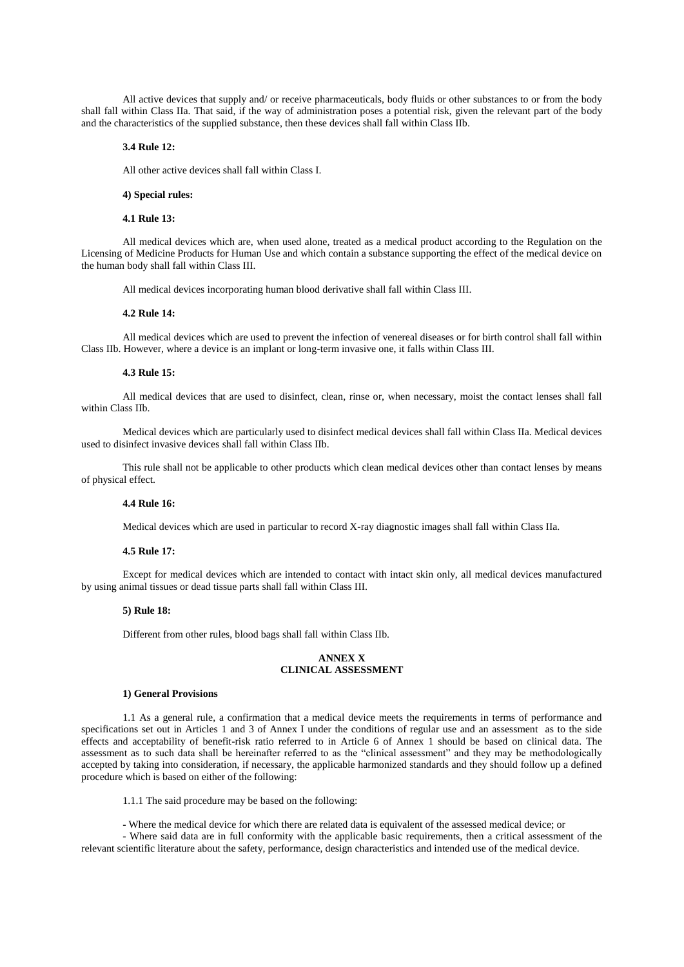All active devices that supply and/ or receive pharmaceuticals, body fluids or other substances to or from the body shall fall within Class IIa. That said, if the way of administration poses a potential risk, given the relevant part of the body and the characteristics of the supplied substance, then these devices shall fall within Class IIb.

#### **3.4 Rule 12:**

All other active devices shall fall within Class I.

## **4) Special rules:**

# **4.1 Rule 13:**

All medical devices which are, when used alone, treated as a medical product according to the Regulation on the Licensing of Medicine Products for Human Use and which contain a substance supporting the effect of the medical device on the human body shall fall within Class III.

All medical devices incorporating human blood derivative shall fall within Class III.

#### **4.2 Rule 14:**

All medical devices which are used to prevent the infection of venereal diseases or for birth control shall fall within Class IIb. However, where a device is an implant or long-term invasive one, it falls within Class III.

#### **4.3 Rule 15:**

All medical devices that are used to disinfect, clean, rinse or, when necessary, moist the contact lenses shall fall within Class IIb.

Medical devices which are particularly used to disinfect medical devices shall fall within Class IIa. Medical devices used to disinfect invasive devices shall fall within Class IIb.

This rule shall not be applicable to other products which clean medical devices other than contact lenses by means of physical effect.

## **4.4 Rule 16:**

Medical devices which are used in particular to record X-ray diagnostic images shall fall within Class IIa.

### **4.5 Rule 17:**

Except for medical devices which are intended to contact with intact skin only, all medical devices manufactured by using animal tissues or dead tissue parts shall fall within Class III.

## **5) Rule 18:**

Different from other rules, blood bags shall fall within Class IIb.

# **ANNEX X CLINICAL ASSESSMENT**

#### **1) General Provisions**

1.1 As a general rule, a confirmation that a medical device meets the requirements in terms of performance and specifications set out in Articles 1 and 3 of Annex I under the conditions of regular use and an assessment as to the side effects and acceptability of benefit-risk ratio referred to in Article 6 of Annex 1 should be based on clinical data. The assessment as to such data shall be hereinafter referred to as the "clinical assessment" and they may be methodologically accepted by taking into consideration, if necessary, the applicable harmonized standards and they should follow up a defined procedure which is based on either of the following:

1.1.1 The said procedure may be based on the following:

- Where the medical device for which there are related data is equivalent of the assessed medical device; or

- Where said data are in full conformity with the applicable basic requirements, then a critical assessment of the relevant scientific literature about the safety, performance, design characteristics and intended use of the medical device.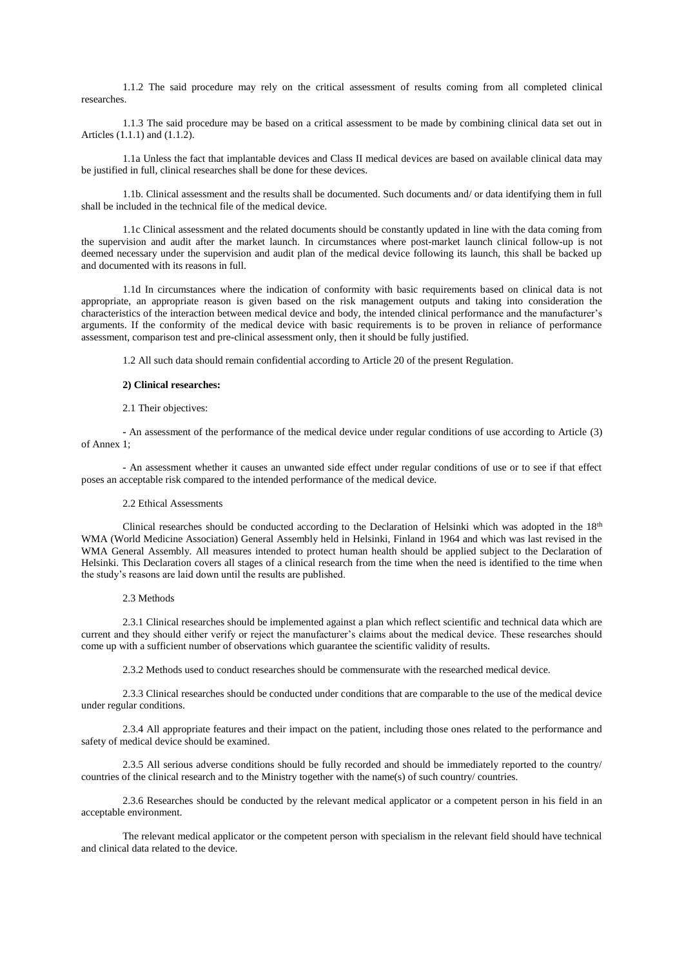1.1.2 The said procedure may rely on the critical assessment of results coming from all completed clinical researches.

1.1.3 The said procedure may be based on a critical assessment to be made by combining clinical data set out in Articles (1.1.1) and (1.1.2).

1.1a Unless the fact that implantable devices and Class II medical devices are based on available clinical data may be justified in full, clinical researches shall be done for these devices.

1.1b. Clinical assessment and the results shall be documented. Such documents and/ or data identifying them in full shall be included in the technical file of the medical device.

1.1c Clinical assessment and the related documents should be constantly updated in line with the data coming from the supervision and audit after the market launch. In circumstances where post-market launch clinical follow-up is not deemed necessary under the supervision and audit plan of the medical device following its launch, this shall be backed up and documented with its reasons in full.

1.1d In circumstances where the indication of conformity with basic requirements based on clinical data is not appropriate, an appropriate reason is given based on the risk management outputs and taking into consideration the characteristics of the interaction between medical device and body, the intended clinical performance and the manufacturer's arguments. If the conformity of the medical device with basic requirements is to be proven in reliance of performance assessment, comparison test and pre-clinical assessment only, then it should be fully justified.

1.2 All such data should remain confidential according to Article 20 of the present Regulation.

# **2) Clinical researches:**

2.1 Their objectives:

**-** An assessment of the performance of the medical device under regular conditions of use according to Article (3) of Annex 1;

- An assessment whether it causes an unwanted side effect under regular conditions of use or to see if that effect poses an acceptable risk compared to the intended performance of the medical device.

## 2.2 Ethical Assessments

Clinical researches should be conducted according to the Declaration of Helsinki which was adopted in the 18<sup>th</sup> WMA (World Medicine Association) General Assembly held in Helsinki, Finland in 1964 and which was last revised in the WMA General Assembly. All measures intended to protect human health should be applied subject to the Declaration of Helsinki. This Declaration covers all stages of a clinical research from the time when the need is identified to the time when the study's reasons are laid down until the results are published.

#### 2.3 Methods

2.3.1 Clinical researches should be implemented against a plan which reflect scientific and technical data which are current and they should either verify or reject the manufacturer's claims about the medical device. These researches should come up with a sufficient number of observations which guarantee the scientific validity of results.

2.3.2 Methods used to conduct researches should be commensurate with the researched medical device.

2.3.3 Clinical researches should be conducted under conditions that are comparable to the use of the medical device under regular conditions.

2.3.4 All appropriate features and their impact on the patient, including those ones related to the performance and safety of medical device should be examined.

2.3.5 All serious adverse conditions should be fully recorded and should be immediately reported to the country/ countries of the clinical research and to the Ministry together with the name(s) of such country/ countries.

2.3.6 Researches should be conducted by the relevant medical applicator or a competent person in his field in an acceptable environment.

The relevant medical applicator or the competent person with specialism in the relevant field should have technical and clinical data related to the device.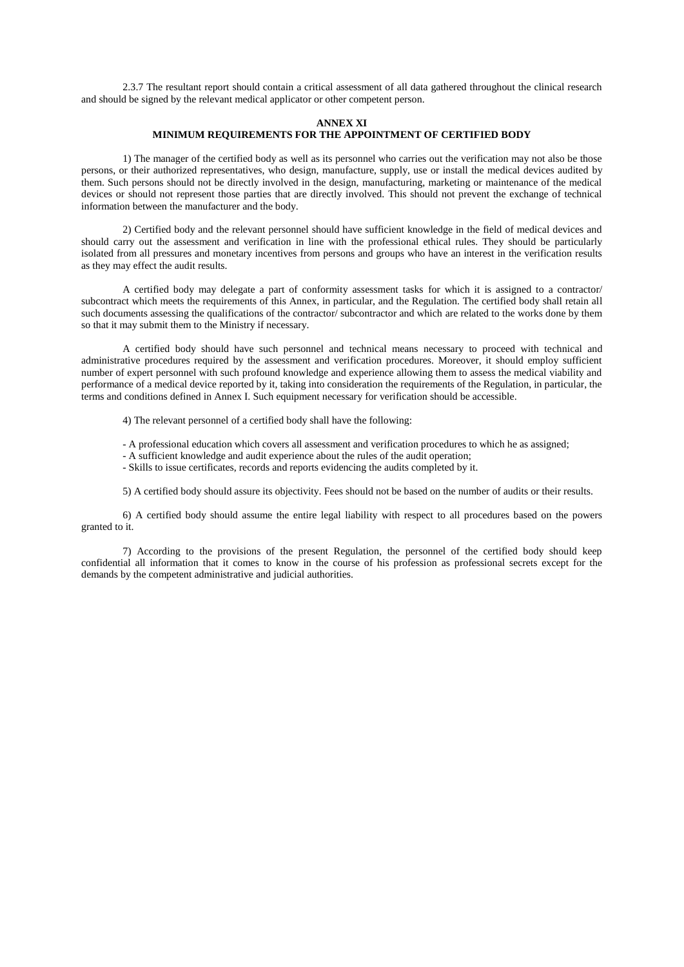2.3.7 The resultant report should contain a critical assessment of all data gathered throughout the clinical research and should be signed by the relevant medical applicator or other competent person.

#### **ANNEX XI**

# **MINIMUM REQUIREMENTS FOR THE APPOINTMENT OF CERTIFIED BODY**

1) The manager of the certified body as well as its personnel who carries out the verification may not also be those persons, or their authorized representatives, who design, manufacture, supply, use or install the medical devices audited by them. Such persons should not be directly involved in the design, manufacturing, marketing or maintenance of the medical devices or should not represent those parties that are directly involved. This should not prevent the exchange of technical information between the manufacturer and the body.

2) Certified body and the relevant personnel should have sufficient knowledge in the field of medical devices and should carry out the assessment and verification in line with the professional ethical rules. They should be particularly isolated from all pressures and monetary incentives from persons and groups who have an interest in the verification results as they may effect the audit results.

A certified body may delegate a part of conformity assessment tasks for which it is assigned to a contractor/ subcontract which meets the requirements of this Annex, in particular, and the Regulation. The certified body shall retain all such documents assessing the qualifications of the contractor/ subcontractor and which are related to the works done by them so that it may submit them to the Ministry if necessary.

A certified body should have such personnel and technical means necessary to proceed with technical and administrative procedures required by the assessment and verification procedures. Moreover, it should employ sufficient number of expert personnel with such profound knowledge and experience allowing them to assess the medical viability and performance of a medical device reported by it, taking into consideration the requirements of the Regulation, in particular, the terms and conditions defined in Annex I. Such equipment necessary for verification should be accessible.

4) The relevant personnel of a certified body shall have the following:

- A professional education which covers all assessment and verification procedures to which he as assigned;

- A sufficient knowledge and audit experience about the rules of the audit operation;

- Skills to issue certificates, records and reports evidencing the audits completed by it.

5) A certified body should assure its objectivity. Fees should not be based on the number of audits or their results.

6) A certified body should assume the entire legal liability with respect to all procedures based on the powers granted to it.

7) According to the provisions of the present Regulation, the personnel of the certified body should keep confidential all information that it comes to know in the course of his profession as professional secrets except for the demands by the competent administrative and judicial authorities.